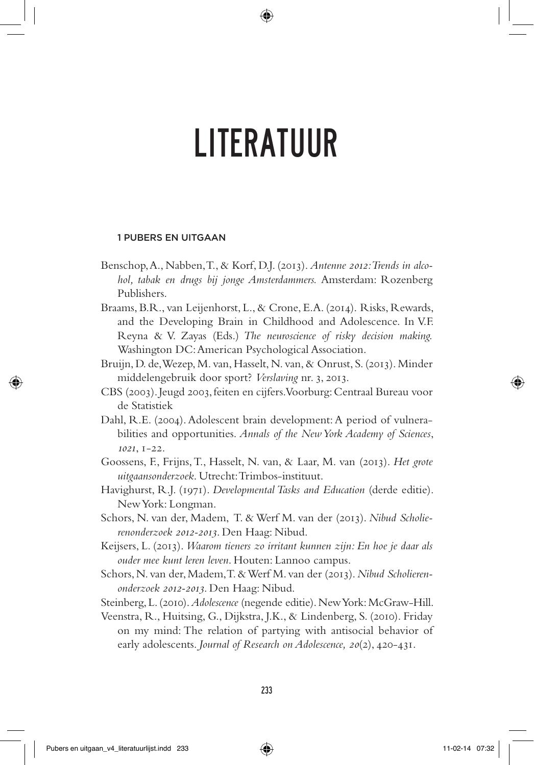## 1 Pubers en uitgaan

- Benschop, A., Nabben, T., & Korf, D.J. (2013). *Antenne 2012: Trends in alcohol, tabak en drugs bij jonge Amsterdammers.* Amsterdam: Rozenberg Publishers.
- Braams, B.R., van Leijenhorst, L., & Crone, E.A. (2014). Risks, Rewards, and the Developing Brain in Childhood and Adolescence. In V.F. Reyna & V. Zayas (Eds.) *The neuroscience of risky decision making.* Washington DC: American Psychological Association.
- Bruijn, D. de, Wezep, M. van, Hasselt, N. van, & Onrust, S. (2013). Minder middelengebruik door sport? *Verslaving* nr. 3, 2013.
- CBS (2003). Jeugd 2003, feiten en cijfers. Voorburg: Centraal Bureau voor de Statistiek
- Dahl, R.E. (2004). Adolescent brain development: A period of vulnerabilities and opportunities. *Annals of the New York Academy of Sciences*, *1021*, 1-22.
- Goossens, F., Frijns, T., Hasselt, N. van, & Laar, M. van (2013). *Het grote uitgaansonderzoek*. Utrecht: Trimbos-instituut.
- Havighurst, R.J. (1971). *Developmental Tasks and Education* (derde editie). New York: Longman.
- Schors, N. van der, Madem, T. & Werf M. van der (2013). *Nibud Scholierenonderzoek 2012-2013*. Den Haag: Nibud.
- Keijsers, L. (2013). *Waarom tieners zo irritant kunnen zijn: En hoe je daar als ouder mee kunt leren leven*. Houten: Lannoo campus.
- Schors, N. van der, Madem, T. & Werf M. van der (2013). *Nibud Scholierenonderzoek 2012-2013*. Den Haag: Nibud.
- Steinberg, L. (2010). *Adolescence* (negende editie). New York: McGraw-Hill.

Veenstra, R., Huitsing, G., Dijkstra, J.K., & Lindenberg, S. (2010). Friday on my mind: The relation of partying with antisocial behavior of early adolescents. *Journal of Research on Adolescence, 20*(2), 420-431.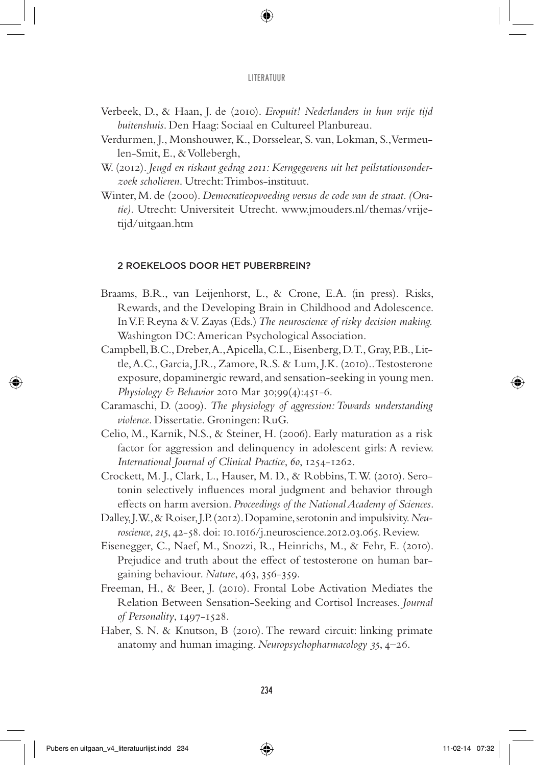- Verbeek, D., & Haan, J. de (2010). *Eropuit! Nederlanders in hun vrije tijd buitenshuis*. Den Haag: Sociaal en Cultureel Planbureau.
- Verdurmen, J., Monshouwer, K., Dorsselear, S. van, Lokman, S., Vermeulen-Smit, E., & Vollebergh,
- W. (2012). *Jeugd en riskant gedrag 2011: Kerngegevens uit het peilstationsonderzoek scholieren*. Utrecht: Trimbos-instituut.
- Winter, M. de (2000). *Democratieopvoeding versus de code van de straat. (Oratie).* Utrecht: Universiteit Utrecht. www.jmouders.nl/themas/vrijetijd/uitgaan.htm

# 2 Roekeloos door het puberbrein?

- Braams, B.R., van Leijenhorst, L., & Crone, E.A. (in press). Risks, Rewards, and the Developing Brain in Childhood and Adolescence. In V.F. Reyna & V. Zayas (Eds.) *The neuroscience of risky decision making.* Washington DC: American Psychological Association.
- Campbell, B.C., Dreber, A., Apicella, C.L., Eisenberg, D.T., Gray, P.B., Little, A.C., Garcia, J.R., Zamore, R.S. & Lum, J.K. (2010).. Testosterone exposure, dopaminergic reward, and sensation-seeking in young men. *Physiology & Behavior* 2010 Mar 30;99(4):451-6.
- Caramaschi, D. (2009). *The physiology of aggression: Towards understanding violence*. Dissertatie. Groningen: RuG.
- Celio, M., Karnik, N.S., & Steiner, H. (2006). Early maturation as a risk factor for aggression and delinquency in adolescent girls: A review. *International Journal of Clinical Practice*, *60*, 1254-1262.
- Crockett, M. J., Clark, L., Hauser, M. D., & Robbins, T. W. (2010). Serotonin selectively influences moral judgment and behavior through effects on harm aversion. *Proceedings of the National Academy of Sciences*.
- Dalley, J.W., & Roiser, J.P. (2012). Dopamine, serotonin and impulsivity. *Neuroscience*, *215*, 42-58. doi: 10.1016/j.neuroscience.2012.03.065. Review.
- Eisenegger, C., Naef, M., Snozzi, R., Heinrichs, M., & Fehr, E. (2010). Prejudice and truth about the effect of testosterone on human bargaining behaviour. *Nature*, 463, 356-359.
- Freeman, H., & Beer, J. (2010). Frontal Lobe Activation Mediates the Relation Between Sensation-Seeking and Cortisol Increases. *Journal of Personality*, 1497-1528.
- Haber, S. N. & Knutson, B (2010). The reward circuit: linking primate anatomy and human imaging. *Neuropsychopharmacology 35*, 4–26.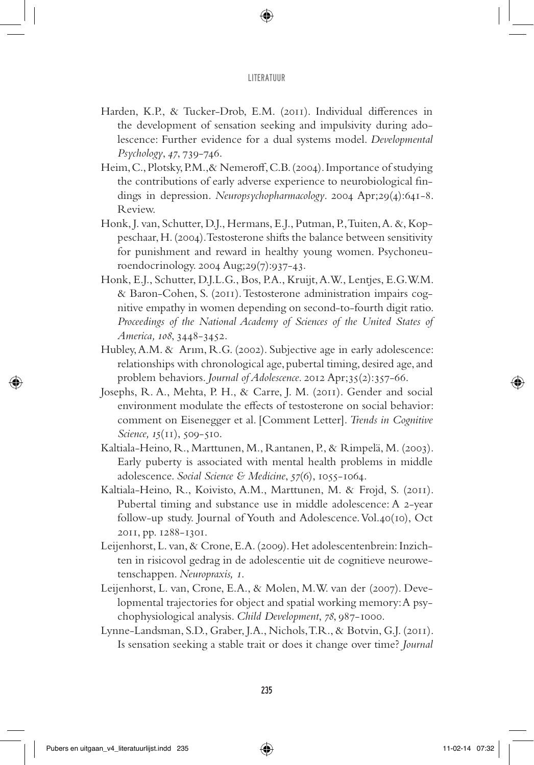- Harden, K.P., & Tucker-Drob, E.M. (2011). Individual differences in the development of sensation seeking and impulsivity during adolescence: Further evidence for a dual systems model. *Developmental Psychology*, *47*, 739-746.
- Heim, C., Plotsky, P.M.,& Nemeroff, C.B. (2004). Importance of studying the contributions of early adverse experience to neurobiological findings in depression. *Neuropsychopharmacology*. 2004 Apr;29(4):641-8. Review.
- Honk, J. van, Schutter, D.J., Hermans, E.J., Putman, P., Tuiten, A. &, Koppeschaar, H. (2004). Testosterone shifts the balance between sensitivity for punishment and reward in healthy young women. Psychoneuroendocrinology. 2004 Aug;29(7):937-43.
- Honk, E.J., Schutter, D.J.L.G., Bos, P.A., Kruijt, A.W., Lentjes, E.G.W.M. & Baron-Cohen, S. (2011). Testosterone administration impairs cognitive empathy in women depending on second-to-fourth digit ratio. *Proceedings of the National Academy of Sciences of the United States of America, 108*, 3448-3452.
- Hubley, A.M. & Arım, R.G. (2002). Subjective age in early adolescence: relationships with chronological age, pubertal timing, desired age, and problem behaviors. *Journal of Adolescence*. 2012 Apr;35(2):357-66.
- Josephs, R. A., Mehta, P. H., & Carre, J. M. (2011). Gender and social environment modulate the effects of testosterone on social behavior: comment on Eisenegger et al. [Comment Letter]. *Trends in Cognitive Science, 15*(11), 509-510.
- Kaltiala-Heino, R., Marttunen, M., Rantanen, P., & Rimpelä, M. (2003). Early puberty is associated with mental health problems in middle adolescence. *Social Science & Medicine*, *57*(6), 1055-1064.
- Kaltiala-Heino, R., Koivisto, A.M., Marttunen, M. & Frojd, S. (2011). Pubertal timing and substance use in middle adolescence: A 2-year follow-up study. Journal of Youth and Adolescence. Vol.40(10), Oct 2011, pp. 1288-1301.
- Leijenhorst, L. van, & Crone, E.A. (2009). Het adolescentenbrein: Inzichten in risicovol gedrag in de adolescentie uit de cognitieve neurowetenschappen. *Neuropraxis, 1*.
- Leijenhorst, L. van, Crone, E.A., & Molen, M.W. van der (2007). Developmental trajectories for object and spatial working memory: A psychophysiological analysis. *Child Development*, *78*, 987-1000.
- Lynne-Landsman, S.D., Graber, J.A., Nichols, T.R., & Botvin, G.J. (2011). Is sensation seeking a stable trait or does it change over time? *Journal*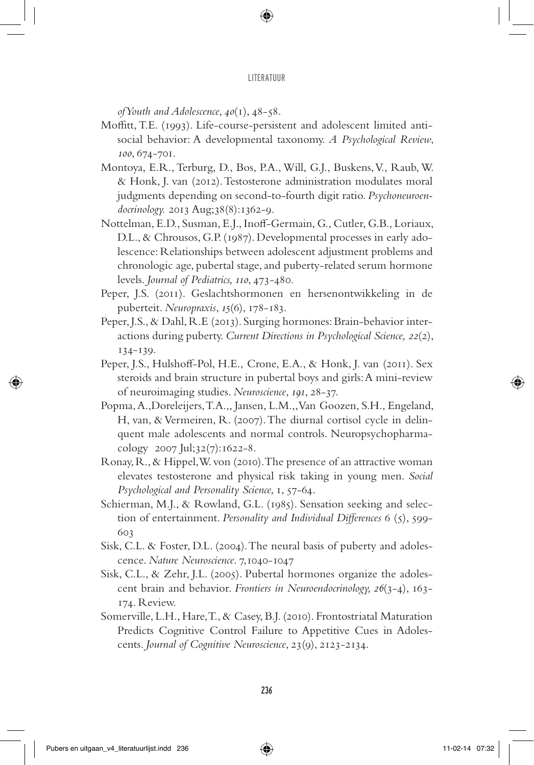*of Youth and Adolescence*, *40*(1), 48-58.

- Moffitt, T.E. (1993). Life-course-persistent and adolescent limited antisocial behavior: A developmental taxonomy. *A Psychological Review*, *100*, 674-701.
- Montoya, E.R., Terburg, D., Bos, P.A., Will, G.J., Buskens, V., Raub, W. & Honk, J. van (2012). Testosterone administration modulates moral judgments depending on second-to-fourth digit ratio. *Psychoneuroendocrinology.* 2013 Aug;38(8):1362-9.
- Nottelman, E.D., Susman, E.J., Inoff-Germain, G., Cutler, G.B., Loriaux, D.L., & Chrousos, G.P. (1987). Developmental processes in early adolescence: Relationships between adolescent adjustment problems and chronologic age, pubertal stage, and puberty-related serum hormone levels. *Journal of Pediatrics, 110*, 473-480.
- Peper, J.S. (2011). Geslachtshormonen en hersenontwikkeling in de puberteit. *Neuropraxis*, *15*(6), 178-183.
- Peper, J.S., & Dahl, R.E (2013). Surging hormones: Brain-behavior interactions during puberty. *Current Directions in Psychological Science, 22*(2), 134-139.
- Peper, J.S., Hulshoff-Pol, H.E., Crone, E.A., & Honk, J. van (2011). Sex steroids and brain structure in pubertal boys and girls: A mini-review of neuroimaging studies. *Neuroscience*, *191*, 28-37.
- Popma, A.,Doreleijers, T.A.,, Jansen, L.M.,, Van Goozen, S.H., Engeland, H, van, & Vermeiren, R. (2007). The diurnal cortisol cycle in delinquent male adolescents and normal controls. Neuropsychopharmacology 2007 Jul;32(7):1622-8.
- Ronay, R., & Hippel, W. von (2010). The presence of an attractive woman elevates testosterone and physical risk taking in young men. *Social Psychological and Personality Science,* 1, 57-64.
- Schierman, M.J., & Rowland, G.L. (1985). Sensation seeking and selection of entertainment. *Personality and Individual Differences* 6 (5), 599- 603
- Sisk, C.L. & Foster, D.L. (2004). The neural basis of puberty and adolescence. *Nature Neuroscience*. 7,1040-1047
- Sisk, C.L., & Zehr, J.L. (2005). Pubertal hormones organize the adolescent brain and behavior. *Frontiers in Neuroendocrinology, 26*(3-4), 163- 174. Review.
- Somerville, L.H., Hare, T., & Casey, B.J. (2010). Frontostriatal Maturation Predicts Cognitive Control Failure to Appetitive Cues in Adolescents. *Journal of Cognitive Neuroscience*, 23(9), 2123-2134.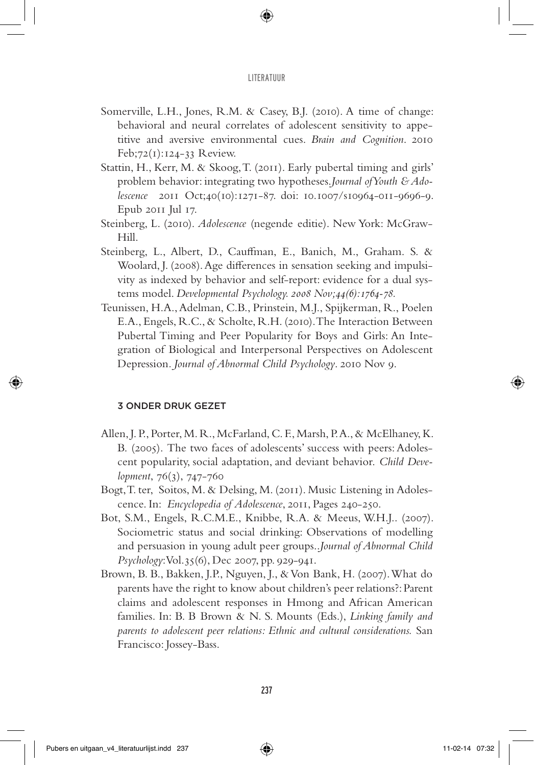- Somerville, L.H., Jones, R.M. & Casey, B.J. (2010). A time of change: behavioral and neural correlates of adolescent sensitivity to appetitive and aversive environmental cues. *Brain and Cognition*. 2010 Feb;72(1):124-33 Review.
- Stattin, H., Kerr, M. & Skoog, T. (2011). Early pubertal timing and girls' problem behavior: integrating two hypotheses.*Journal of Youth & Adolescence* 2011 Oct;40(10):1271-87. doi: 10.1007/s10964-011-9696-9. Epub 2011 Jul 17.
- Steinberg, L. (2010). *Adolescence* (negende editie). New York: McGraw-Hill.
- Steinberg, L., Albert, D., Cauffman, E., Banich, M., Graham. S. & Woolard, J. (2008). Age differences in sensation seeking and impulsivity as indexed by behavior and self-report: evidence for a dual systems model. *Developmental Psychology. 2008 Nov;44(6):1764-78.*
- Teunissen, H.A., Adelman, C.B., Prinstein, M.J., Spijkerman, R., Poelen E.A., Engels, R.C., & Scholte, R.H. (2010). The Interaction Between Pubertal Timing and Peer Popularity for Boys and Girls: An Integration of Biological and Interpersonal Perspectives on Adolescent Depression*. Journal of Abnormal Child Psychology*. 2010 Nov 9.

# 3 Onder druk gezet

- Allen, J. P., Porter, M. R., McFarland, C. F., Marsh, P.A., & McElhaney, K. B. (2005). The two faces of adolescents' success with peers: Adolescent popularity, social adaptation, and deviant behavior. *Child Development*, 76(3), 747-760
- Bogt, T. ter, Soitos, M. & Delsing, M. (2011). Music Listening in Adolescence. In: *Encyclopedia of Adolescence*, 2011, Pages 240-250.
- Bot, S.M., Engels, R.C.M.E., Knibbe, R.A. & Meeus, W.H.J.. (2007). Sociometric status and social drinking: Observations of modelling and persuasion in young adult peer groups..*Journal of Abnormal Child Psychology*: Vol.35(6), Dec 2007, pp. 929-941.
- Brown, B. B., Bakken, J.P., Nguyen, J., & Von Bank, H. (2007). What do parents have the right to know about children's peer relations?: Parent claims and adolescent responses in Hmong and African American families. In: B. B Brown & N. S. Mounts (Eds.), *Linking family and parents to adolescent peer relations: Ethnic and cultural considerations.* San Francisco: Jossey-Bass.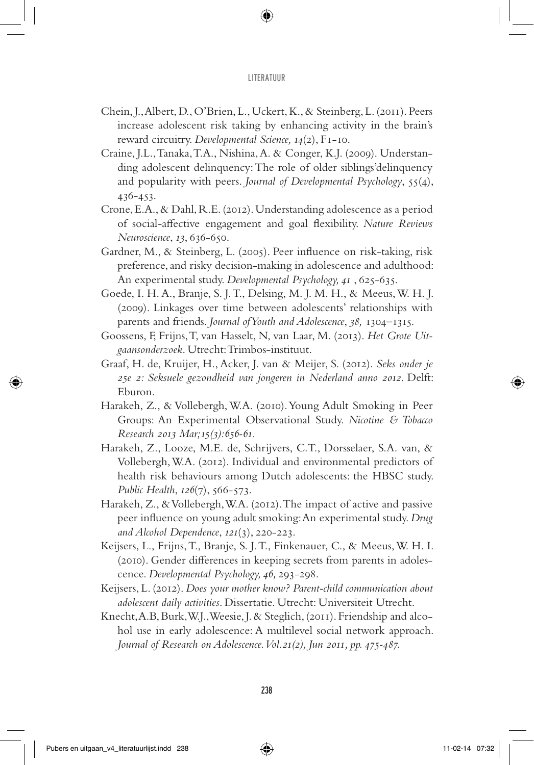- Chein, J., Albert, D., O'Brien, L., Uckert, K., & Steinberg, L. (2011). Peers increase adolescent risk taking by enhancing activity in the brain's reward circuitry. *Developmental Science, 14*(2), F1-10.
- Craine, J.L., Tanaka, T.A., Nishina, A. & Conger, K.J. (2009). Understanding adolescent delinquency: The role of older siblings'delinquency and popularity with peers. *Journal of Developmental Psychology*, 55(4), 436-453.
- Crone, E.A., & Dahl, R.E. (2012). Understanding adolescence as a period of social-affective engagement and goal flexibility. *Nature Reviews Neuroscience*, *13*, 636-650.
- Gardner, M., & Steinberg, L. (2005). Peer influence on risk-taking, risk preference, and risky decision-making in adolescence and adulthood: An experimental study. *Developmental Psychology, 41* , 625-635.
- Goede, I. H. A., Branje, S. J. T., Delsing, M. J. M. H., & Meeus, W. H. J. (2009). Linkages over time between adolescents' relationships with parents and friends. *Journal of Youth and Adolescence*, *38,* 1304–1315.
- Goossens, F, Frijns, T, van Hasselt, N, van Laar, M. (2013). *Het Grote Uitgaansonderzoek*. Utrecht: Trimbos-instituut.
- Graaf, H. de, Kruijer, H., Acker, J. van & Meijer, S. (2012). *Seks onder je 25e 2: Seksuele gezondheid van jongeren in Nederland anno 2012*. Delft: Eburon.
- Harakeh, Z., & Vollebergh, W.A. (2010). Young Adult Smoking in Peer Groups: An Experimental Observational Study. *Nicotine & Tobacco Research 2013 Mar;15(3):656-61.*
- Harakeh, Z., Looze, M.E. de, Schrijvers, C.T., Dorsselaer, S.A. van, & Vollebergh, W.A. (2012). Individual and environmental predictors of health risk behaviours among Dutch adolescents: the HBSC study. *Public Health*, *126*(7), 566-573.
- Harakeh, Z., & Vollebergh, W.A. (2012). The impact of active and passive peer influence on young adult smoking: An experimental study. *Drug and Alcohol Dependence*, *121*(3), 220-223.
- Keijsers, L., Frijns, T., Branje, S. J. T., Finkenauer, C., & Meeus, W. H. I. (2010). Gender differences in keeping secrets from parents in adolescence. *Developmental Psychology, 46,* 293-298.
- Keijsers, L. (2012). *Does your mother know? Parent-child communication about adolescent daily activities*. Dissertatie. Utrecht: Universiteit Utrecht.
- Knecht, A.B, Burk, W.J.,Weesie, J. & Steglich, (2011). Friendship and alcohol use in early adolescence: A multilevel social network approach. *Journal of Research on Adolescence. Vol.21(2), Jun 2011, pp. 475-487.*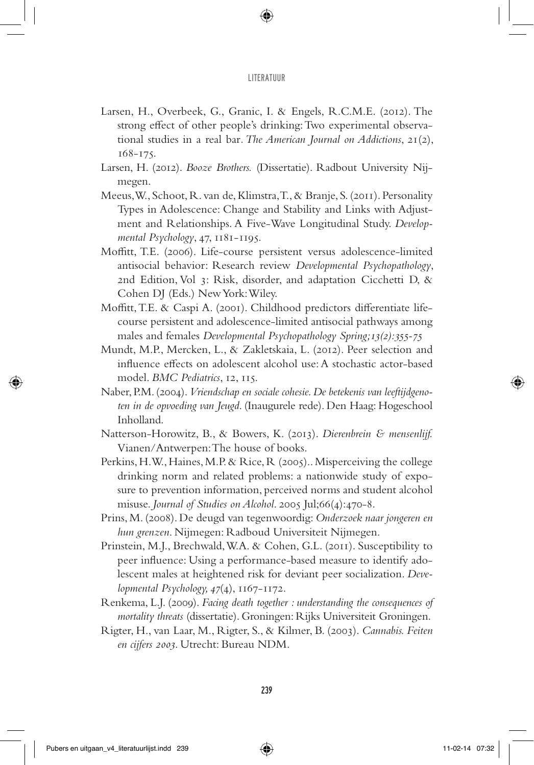- Larsen, H., Overbeek, G., Granic, I. & Engels, R.C.M.E. (2012). The strong effect of other people's drinking: Two experimental observational studies in a real bar*. The American Journal on Addictions*, 21(2), 168-175.
- Larsen, H. (2012). *Booze Brothers.* (Dissertatie). Radbout University Nijmegen.
- Meeus, W., Schoot, R. van de, Klimstra, T., & Branje, S. (2011). Personality Types in Adolescence: Change and Stability and Links with Adjustment and Relationships. A Five-Wave Longitudinal Study. *Developmental Psychology*, 47, 1181-1195.
- Moffitt, T.E. (2006). Life-course persistent versus adolescence-limited antisocial behavior: Research review *Developmental Psychopathology*, 2nd Edition, Vol 3: Risk, disorder, and adaptation Cicchetti D, & Cohen DJ (Eds.) New York: Wiley.
- Moffitt, T.E. & Caspi A. (2001). Childhood predictors differentiate lifecourse persistent and adolescence-limited antisocial pathways among males and females *Developmental Psychopathology Spring;13(2):355-75*
- Mundt, M.P., Mercken, L., & Zakletskaia, L. (2012). Peer selection and influence effects on adolescent alcohol use: A stochastic actor-based model. *BMC Pediatrics*, 12, 115.
- Naber, P.M. (2004). *Vriendschap en sociale cohesie. De betekenis van leeftijdgenoten in de opvoeding van Jeugd*. (Inaugurele rede). Den Haag: Hogeschool Inholland.
- Natterson-Horowitz, B., & Bowers, K. (2013). *Dierenbrein & mensenlijf.* Vianen/Antwerpen: The house of books.
- Perkins, H.W., Haines, M.P. & Rice, R (2005).. Misperceiving the college drinking norm and related problems: a nationwide study of exposure to prevention information, perceived norms and student alcohol misuse. *Journal of Studies on Alcohol*. 2005 Jul;66(4):470-8.
- Prins, M. (2008). De deugd van tegenwoordig: *Onderzoek naar jongeren en hun grenzen*. Nijmegen: Radboud Universiteit Nijmegen.
- Prinstein, M.J., Brechwald, W.A. & Cohen, G.L. (2011). Susceptibility to peer influence: Using a performance-based measure to identify adolescent males at heightened risk for deviant peer socialization. *Developmental Psychology, 47*(4), 1167-1172.
- Renkema, L.J. (2009). *Facing death together : understanding the consequences of mortality threats* (dissertatie). Groningen: Rijks Universiteit Groningen.
- Rigter, H., van Laar, M., Rigter, S., & Kilmer, B. (2003). *Cannabis. Feiten en cijfers 2003*. Utrecht: Bureau NDM.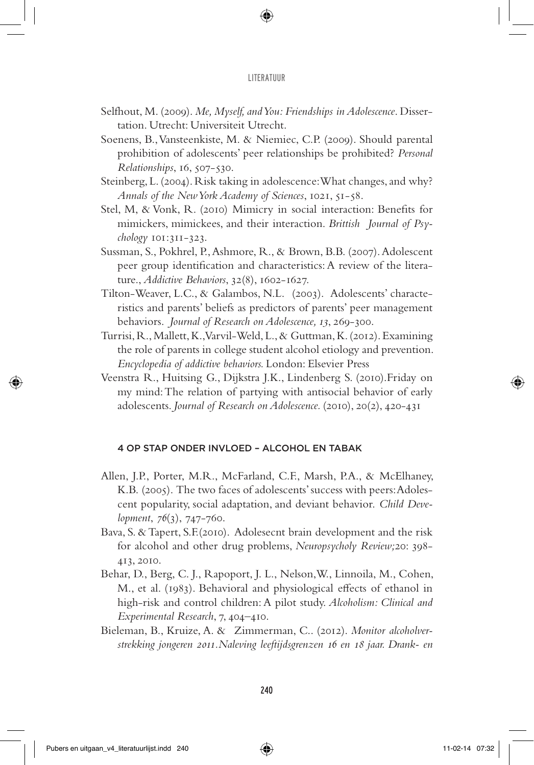- Selfhout, M. (2009). *Me, Myself, and You: Friendships in Adolescence*. Dissertation. Utrecht: Universiteit Utrecht.
- Soenens, B., Vansteenkiste, M. & Niemiec, C.P. (2009). Should parental prohibition of adolescents' peer relationships be prohibited? *Personal Relationships*, 16, 507-530.
- Steinberg, L. (2004). Risk taking in adolescence: What changes, and why? *Annals of the New York Academy of Sciences*, 1021, 51-58.
- Stel, M, & Vonk, R. (2010) Mimicry in social interaction: Benefits for mimickers, mimickees, and their interaction. *Brittish Journal of Psychology* 101:311-323.
- Sussman, S., Pokhrel, P., Ashmore, R., & Brown, B.B. (2007). Adolescent peer group identification and characteristics: A review of the literature., *Addictive Behaviors*, 32(8), 1602-1627.
- Tilton-Weaver, L.C., & Galambos, N.L. (2003). Adolescents' characteristics and parents' beliefs as predictors of parents' peer management behaviors. *Journal of Research on Adolescence, 13*, 269-300.
- Turrisi, R., Mallett, K., Varvil-Weld, L., & Guttman, K. (2012). Examining the role of parents in college student alcohol etiology and prevention. *Encyclopedia of addictive behaviors.* London: Elsevier Press
- Veenstra R., Huitsing G., Dijkstra J.K., Lindenberg S. (2010).Friday on my mind: The relation of partying with antisocial behavior of early adolescents. *Journal of Research on Adolescence.* (2010), 20(2), 420-431

## 4 Op stap onder invloed – alcohol en tabak

- Allen, J.P., Porter, M.R., McFarland, C.F., Marsh, P.A., & McElhaney, K.B. (2005). The two faces of adolescents' success with peers: Adolescent popularity, social adaptation, and deviant behavior. *Child Development*, *76*(3), 747-760.
- Bava, S. & Tapert, S.F.(2010). Adolesecnt brain development and the risk for alcohol and other drug problems, *Neuropsycholy Review;*20: 398- 413, 2010.
- Behar, D., Berg, C. J., Rapoport, J. L., Nelson,W., Linnoila, M., Cohen, M., et al. (1983). Behavioral and physiological effects of ethanol in high-risk and control children: A pilot study. *Alcoholism: Clinical and Experimental Research*, 7, 404–410.
- Bieleman, B., Kruize, A. & Zimmerman, C.. (2012). *Monitor alcoholverstrekking jongeren 2011.Naleving leeftijdsgrenzen 16 en 18 jaar. Drank- en*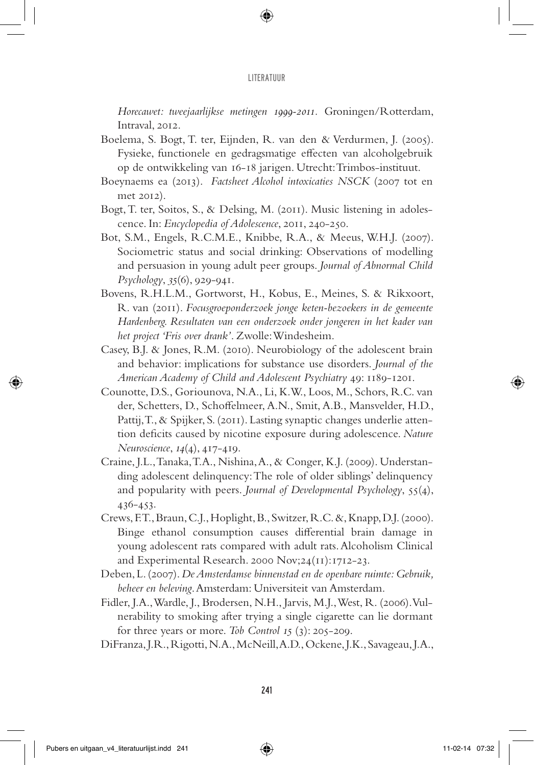*Horecawet: tweejaarlijkse metingen 1999-2011.* Groningen/Rotterdam, Intraval, 2012.

- Boelema, S. Bogt, T. ter, Eijnden, R. van den & Verdurmen, J. (2005). Fysieke, functionele en gedragsmatige effecten van alcoholgebruik op de ontwikkeling van 16-18 jarigen. Utrecht: Trimbos-instituut.
- Boeynaems ea (2013). *Factsheet Alcohol intoxicaties NSCK* (2007 tot en met 2012).
- Bogt, T. ter, Soitos, S., & Delsing, M. (2011). Music listening in adolescence. In: *Encyclopedia of Adolescence*, 2011, 240-250.
- Bot, S.M., Engels, R.C.M.E., Knibbe, R.A., & Meeus, W.H.J. (2007). Sociometric status and social drinking: Observations of modelling and persuasion in young adult peer groups. *Journal of Abnormal Child Psychology*, *35*(6), 929-941.
- Bovens, R.H.L.M., Gortworst, H., Kobus, E., Meines, S. & Rikxoort, R. van (2011). *Focusgroeponderzoek jonge keten-bezoekers in de gemeente Hardenberg. Resultaten van een onderzoek onder jongeren in het kader van het project 'Fris over drank'*. Zwolle: Windesheim.
- Casey, B.J. & Jones, R.M. (2010). Neurobiology of the adolescent brain and behavior: implications for substance use disorders. *Journal of the American Academy of Child and Adolescent Psychiatry* 49: 1189-1201.
- Counotte, D.S., Goriounova, N.A., Li, K.W., Loos, M., Schors, R.C. van der, Schetters, D., Schoffelmeer, A.N., Smit, A.B., Mansvelder, H.D., Pattij, T., & Spijker, S. (2011). Lasting synaptic changes underlie attention deficits caused by nicotine exposure during adolescence. *Nature Neuroscience*, *14*(4), 417-419.
- Craine, J.L., Tanaka, T.A., Nishina, A., & Conger, K.J. (2009). Understanding adolescent delinquency: The role of older siblings' delinquency and popularity with peers. *Journal of Developmental Psychology*, 55(4), 436-453.
- Crews, F.T., Braun, C.J., Hoplight, B., Switzer, R.C. &, Knapp, D.J. (2000). Binge ethanol consumption causes differential brain damage in young adolescent rats compared with adult rats. Alcoholism Clinical and Experimental Research. 2000 Nov;24(11):1712-23.
- Deben, L. (2007). *De Amsterdamse binnenstad en de openbare ruimte: Gebruik, beheer en beleving*. Amsterdam: Universiteit van Amsterdam.
- Fidler, J.A., Wardle, J., Brodersen, N.H., Jarvis, M.J., West, R. (2006). Vulnerability to smoking after trying a single cigarette can lie dormant for three years or more. *Tob Control 15* (3): 205-209.
- DiFranza, J.R., Rigotti, N.A., McNeill, A.D., Ockene, J.K., Savageau, J.A.,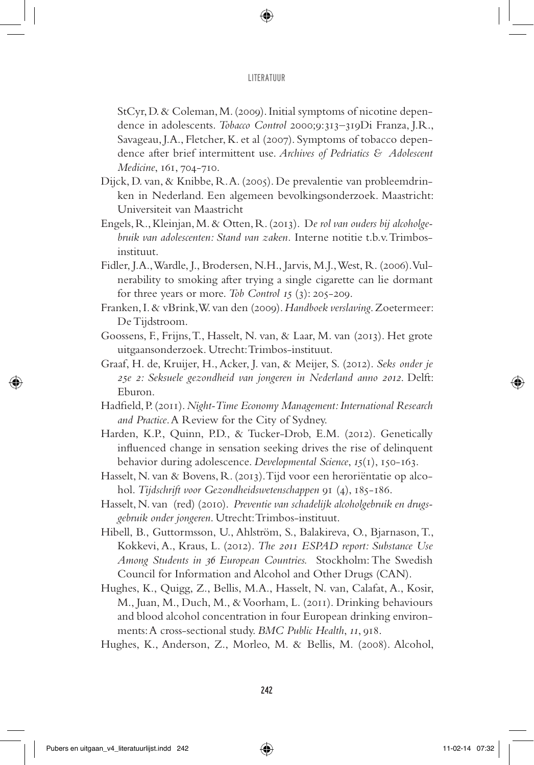StCyr, D. & Coleman, M. (2009). Initial symptoms of nicotine dependence in adolescents. *Tobacco Control* 2000;9:313–319Di Franza, J.R., Savageau, J.A., Fletcher, K. et al (2007). Symptoms of tobacco dependence after brief intermittent use. *Archives of Pedriatics & Adolescent Medicine*, 161, 704-710.

- Dijck, D. van, & Knibbe, R. A. (2005). De prevalentie van probleemdrinken in Nederland. Een algemeen bevolkingsonderzoek. Maastricht: Universiteit van Maastricht
- Engels, R., Kleinjan, M. & Otten, R. (2013). D*e rol van ouders bij alcoholgebruik van adolescenten: Stand van zaken.* Interne notitie t.b.v. Trimbosinstituut.
- Fidler, J.A., Wardle, J., Brodersen, N.H., Jarvis, M.J., West, R. (2006). Vulnerability to smoking after trying a single cigarette can lie dormant for three years or more. *Tob Control 15* (3): 205-209.
- Franken, I. & vBrink, W. van den (2009). *Handboek verslaving*. Zoetermeer: De Tijdstroom.
- Goossens, F., Frijns, T., Hasselt, N. van, & Laar, M. van (2013). Het grote uitgaansonderzoek. Utrecht: Trimbos-instituut.
- Graaf, H. de, Kruijer, H., Acker, J. van, & Meijer, S. (2012). *Seks onder je 25e 2: Seksuele gezondheid van jongeren in Nederland anno 2012*. Delft: Eburon.
- Hadfield, P. (2011). *Night-Time Economy Management: International Research and Practice*. A Review for the City of Sydney.
- Harden, K.P., Quinn, P.D., & Tucker-Drob, E.M. (2012). Genetically influenced change in sensation seeking drives the rise of delinquent behavior during adolescence. *Developmental Science*, *15*(1), 150-163.
- Hasselt, N. van & Bovens, R. (2013). Tijd voor een heroriëntatie op alcohol. *Tijdschrift voor Gezondheidswetenschappen* 91 (4), 185-186.
- Hasselt, N. van (red) (2010). *Preventie van schadelijk alcoholgebruik en drugsgebruik onder jongeren*. Utrecht: Trimbos-instituut.
- Hibell, B., Guttormsson, U., Ahlström, S., Balakireva, O., Bjarnason, T., Kokkevi, A., Kraus, L. (2012). *The 2011 ESPAD report: Substance Use Among Students in 36 European Countries.* Stockholm: The Swedish Council for Information and Alcohol and Other Drugs (CAN).
- Hughes, K., Quigg, Z., Bellis, M.A., Hasselt, N. van, Calafat, A., Kosir, M., Juan, M., Duch, M., & Voorham, L. (2011). Drinking behaviours and blood alcohol concentration in four European drinking environments: A cross-sectional study. *BMC Public Health*, *11*, 918.
- Hughes, K., Anderson, Z., Morleo, M. & Bellis, M. (2008). Alcohol,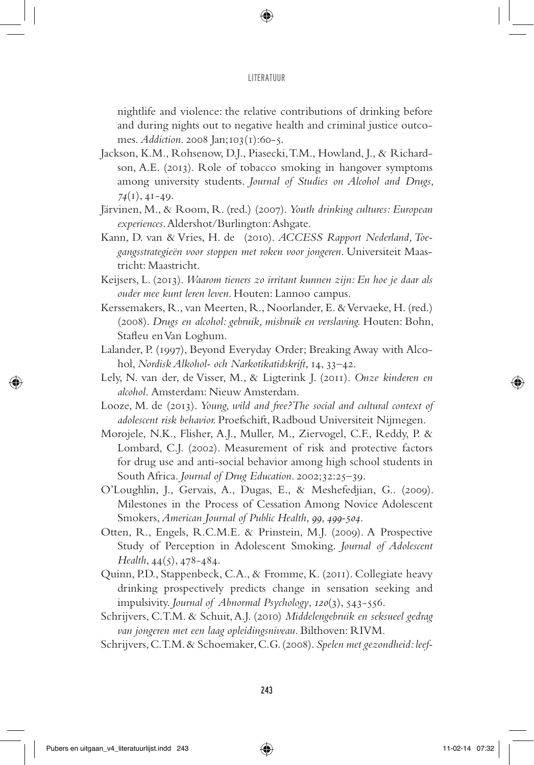nightlife and violence: the relative contributions of drinking before and during nights out to negative health and criminal justice outcomes. *Addiction*. 2008 Jan;103(1):60-5.

- Jackson, K.M., Rohsenow, D.J., Piasecki, T.M., Howland, J., & Richardson, A.E. (2013). Role of tobacco smoking in hangover symptoms among university students. *Journal of Studies on Alcohol and Drugs*, *74*(1), 41-49.
- Järvinen, M., & Room, R. (red.) (2007). *Youth drinking cultures: European experiences*. Aldershot/Burlington: Ashgate.
- Kann, D. van & Vries, H. de (2010). *ACCESS Rapport Nederland, Toegangsstrategieën voor stoppen met roken voor jongeren*. Universiteit Maastricht: Maastricht.
- Keijsers, L. (2013). *Waarom tieners zo irritant kunnen zijn: En hoe je daar als ouder mee kunt leren leven*. Houten: Lannoo campus.
- Kerssemakers, R., van Meerten, R., Noorlander, E. & Vervaeke, H. (red.) (2008). *Drugs en alcohol: gebruik, misbruik en verslaving.* Houten: Bohn, Stafleu en Van Loghum.
- Lalander, P. (1997), Beyond Everyday Order; Breaking Away with Alcohol, *Nordisk Alkohol- och Narkotikatidskrift*, 14, 33–42.
- Lely, N. van der, de Visser, M., & Ligterink J. (2011). *Onze kinderen en alcohol.* Amsterdam: Nieuw Amsterdam.
- Looze, M. de (2013). *Young, wild and free?The social and cultural context of adolescent risk behavior.* Proefschift, Radboud Universiteit Nijmegen.
- Morojele, N.K., Flisher, A.J., Muller, M., Ziervogel, C.F., Reddy, P. & Lombard, C.J. (2002). Measurement of risk and protective factors for drug use and anti-social behavior among high school students in South Africa. *Journal of Drug Education*. 2002;32:25–39.
- O'Loughlin, J., Gervais, A., Dugas, E., & Meshefedjian, G.. (2009). Milestones in the Process of Cessation Among Novice Adolescent Smokers, *American Journal of Public Health, 99, 499-504.*
- Otten, R., Engels, R.C.M.E. & Prinstein, M.J. (2009). A Prospective Study of Perception in Adolescent Smoking. *Journal of Adolescent Health*, 44(5), 478-484.
- Quinn, P.D., Stappenbeck, C.A., & Fromme, K. (2011). Collegiate heavy drinking prospectively predicts change in sensation seeking and impulsivity. *Journal of Abnormal Psychology*, *120*(3), 543-556.
- Schrijvers, C.T.M. & Schuit, A.J. (2010) *Middelengebruik en seksueel gedrag van jongeren met een laag opleidingsniveau*. Bilthoven: RIVM.
- Schrijvers, C.T.M. & Schoemaker, C.G. (2008). *Spelen met gezondheid: leef-*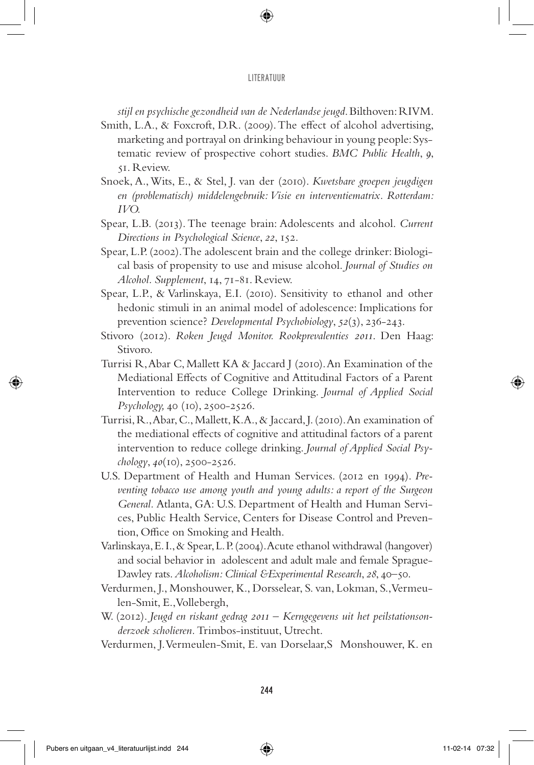*stijl en psychische gezondheid van de Nederlandse jeugd*. Bilthoven: RIVM.

- Smith, L.A., & Foxcroft, D.R. (2009). The effect of alcohol advertising, marketing and portrayal on drinking behaviour in young people: Systematic review of prospective cohort studies. *BMC Public Health*, *9*, 51. Review.
- Snoek, A., Wits, E., & Stel, J. van der (2010). *Kwetsbare groepen jeugdigen en (problematisch) middelengebruik: Visie en interventiematrix. Rotterdam: IVO.*
- Spear, L.B. (2013). The teenage brain: Adolescents and alcohol. *Current Directions in Psychological Science*, *22*, 152.
- Spear, L.P. (2002). The adolescent brain and the college drinker: Biological basis of propensity to use and misuse alcohol. *Journal of Studies on Alcohol. Supplement*, 14, 71-81. Review.
- Spear, L.P., & Varlinskaya, E.I. (2010). Sensitivity to ethanol and other hedonic stimuli in an animal model of adolescence: Implications for prevention science? *Developmental Psychobiology*, *52*(3), 236-243.
- Stivoro (2012). *Roken Jeugd Monitor. Rookprevalenties 2011*. Den Haag: Stivoro.
- Turrisi R, Abar C, Mallett KA & Jaccard J (2010). An Examination of the Mediational Effects of Cognitive and Attitudinal Factors of a Parent Intervention to reduce College Drinking. *Journal of Applied Social Psychology,* 40 (10), 2500-2526.
- Turrisi, R., Abar, C., Mallett, K.A., & Jaccard, J. (2010). An examination of the mediational effects of cognitive and attitudinal factors of a parent intervention to reduce college drinking. *Journal of Applied Social Psychology*, *40*(10), 2500-2526.
- U.S. Department of Health and Human Services. (2012 en 1994). *Preventing tobacco use among youth and young adults: a report of the Surgeon General.* Atlanta, GA: U.S. Department of Health and Human Services, Public Health Service, Centers for Disease Control and Prevention, Office on Smoking and Health.
- Varlinskaya, E. I., & Spear, L. P. (2004). Acute ethanol withdrawal (hangover) and social behavior in adolescent and adult male and female Sprague-Dawley rats. *Alcoholism: Clinical &Experimental Research*, *28*, 40–50.
- Verdurmen, J., Monshouwer, K., Dorsselear, S. van, Lokman, S., Vermeulen-Smit, E., Vollebergh,
- W. (2012). *Jeugd en riskant gedrag 2011 Kerngegevens uit het peilstationsonderzoek scholieren.* Trimbos-instituut, Utrecht.
- Verdurmen, J. Vermeulen-Smit, E. van Dorselaar,S Monshouwer, K. en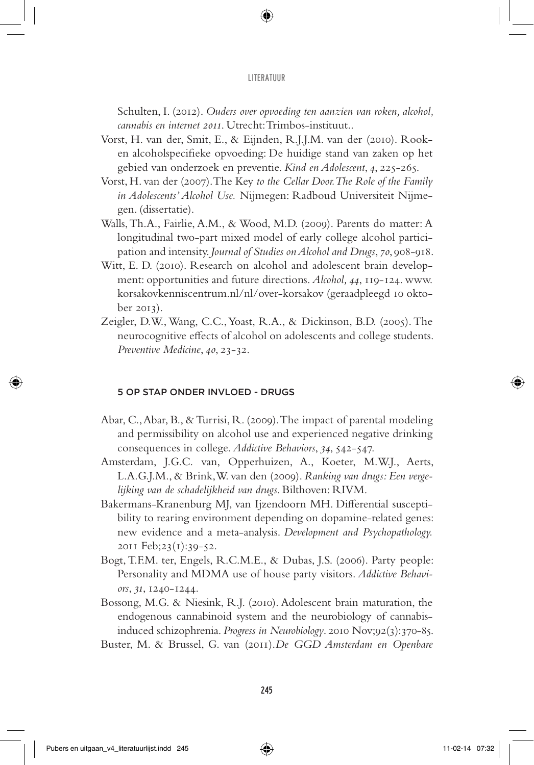Schulten, I. (2012). *Ouders over opvoeding ten aanzien van roken, alcohol, cannabis en internet 2011*. Utrecht: Trimbos-instituut..

- Vorst, H. van der, Smit, E., & Eijnden, R.J.J.M. van der (2010). Rooken alcoholspecifieke opvoeding: De huidige stand van zaken op het gebied van onderzoek en preventie. *Kind en Adolescent*, *4*, 225-265.
- Vorst, H. van der (2007). The Key *to the Cellar Door. The Role of the Family in Adolescents' Alcohol Use.* Nijmegen: Radboud Universiteit Nijmegen. (dissertatie).
- Walls, Th.A., Fairlie, A.M., & Wood, M.D. (2009). Parents do matter: A longitudinal two-part mixed model of early college alcohol participation and intensity. *Journal of Studies on Alcohol and Drugs*, *70*, 908-918.
- Witt, E. D. (2010). Research on alcohol and adolescent brain development: opportunities and future directions. *Alcohol, 44*, 119-124. www. korsakovkenniscentrum.nl/nl/over-korsakov (geraadpleegd 10 oktober 2013).
- Zeigler, D.W., Wang, C.C., Yoast, R.A., & Dickinson, B.D. (2005). The neurocognitive effects of alcohol on adolescents and college students. *Preventive Medicine*, *40*, 23-32.

## 5 Op stap onder invloed - drugs

- Abar, C., Abar, B., & Turrisi, R. (2009). The impact of parental modeling and permissibility on alcohol use and experienced negative drinking consequences in college. *Addictive Behaviors*, *34*, 542-547.
- Amsterdam, J.G.C. van, Opperhuizen, A., Koeter, M.W.J., Aerts, L.A.G.J.M., & Brink, W. van den (2009). *Ranking van drugs: Een vergelijking van de schadelijkheid van drugs*. Bilthoven: RIVM.
- Bakermans-Kranenburg MJ, van Ijzendoorn MH. Differential susceptibility to rearing environment depending on dopamine-related genes: new evidence and a meta-analysis. *Development and Psychopathology.* 2011 Feb;23(1):39-52.
- Bogt, T.F.M. ter, Engels, R.C.M.E., & Dubas, J.S. (2006). Party people: Personality and MDMA use of house party visitors. *Addictive Behaviors*, *31*, 1240-1244.
- Bossong, M.G. & Niesink, R.J. (2010). Adolescent brain maturation, the endogenous cannabinoid system and the neurobiology of cannabisinduced schizophrenia. *Progress in Neurobiology*. 2010 Nov;92(3):370-85.
- Buster, M. & Brussel, G. van (2011).*De GGD Amsterdam en Openbare*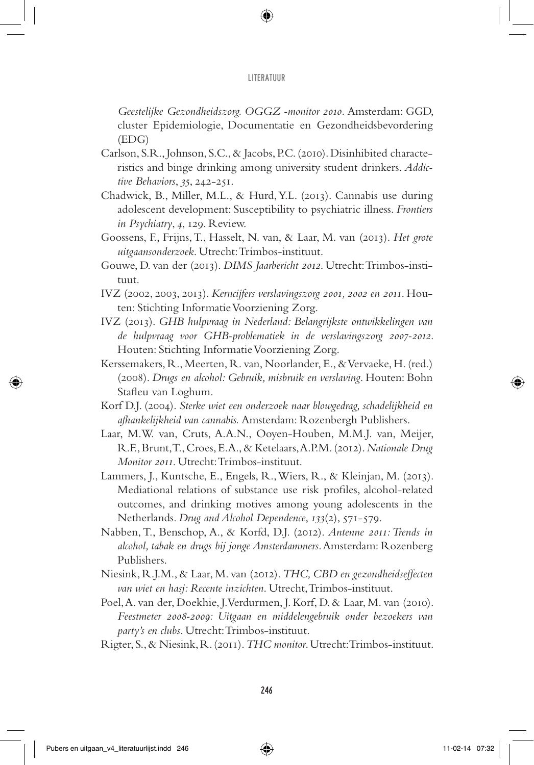*Geestelijke Gezondheidszorg. OGGZ -monitor 2010.* Amsterdam: GGD, cluster Epidemiologie, Documentatie en Gezondheidsbevordering (EDG)

- Carlson, S.R., Johnson, S.C., & Jacobs, P.C. (2010). Disinhibited characteristics and binge drinking among university student drinkers. *Addictive Behaviors*, *35*, 242-251.
- Chadwick, B., Miller, M.L., & Hurd, Y.L. (2013). Cannabis use during adolescent development: Susceptibility to psychiatric illness. *Frontiers in Psychiatry*, *4*, 129. Review.
- Goossens, F., Frijns, T., Hasselt, N. van, & Laar, M. van (2013). *Het grote uitgaansonderzoek*. Utrecht: Trimbos-instituut.
- Gouwe, D. van der (2013). *DIMS Jaarbericht 2012*. Utrecht: Trimbos-instituut.
- IVZ (2002, 2003, 2013). *Kerncijfers verslavingszorg 2001, 2002 en 2011*. Houten: Stichting Informatie Voorziening Zorg.
- IVZ (2013). *GHB hulpvraag in Nederland: Belangrijkste ontwikkelingen van de hulpvraag voor GHB-problematiek in de verslavingszorg 2007-2012*. Houten: Stichting Informatie Voorziening Zorg.
- Kerssemakers, R., Meerten, R. van, Noorlander, E., & Vervaeke, H. (red.) (2008). *Drugs en alcohol: Gebruik, misbruik en verslaving*. Houten: Bohn Stafleu van Loghum.
- Korf D.J. (2004). *Sterke wiet een onderzoek naar blowgedrag, schadelijkheid en afhankelijkheid van cannabis.* Amsterdam: Rozenbergh Publishers.
- Laar, M.W. van, Cruts, A.A.N., Ooyen-Houben, M.M.J. van, Meijer, R.F., Brunt, T., Croes, E.A., & Ketelaars, A.P.M. (2012). *Nationale Drug Monitor 2011*. Utrecht: Trimbos-instituut.
- Lammers, J., Kuntsche, E., Engels, R., Wiers, R., & Kleinjan, M. (2013). Mediational relations of substance use risk profiles, alcohol-related outcomes, and drinking motives among young adolescents in the Netherlands. *Drug and Alcohol Dependence*, *133*(2), 571-579.
- Nabben, T., Benschop, A., & Korfd, D.J. (2012). *Antenne 2011: Trends in alcohol, tabak en drugs bij jonge Amsterdammers*. Amsterdam: Rozenberg Publishers.
- Niesink, R.J.M., & Laar, M. van (2012). *THC, CBD en gezondheidseffecten van wiet en hasj: Recente inzichten*. Utrecht, Trimbos-instituut.
- Poel, A. van der, Doekhie, J. Verdurmen, J. Korf, D. & Laar, M. van (2010). *Feestmeter 2008-2009: Uitgaan en middelengebruik onder bezoekers van party's en clubs*. Utrecht: Trimbos-instituut.
- Rigter, S., & Niesink, R. (2011). *THC monitor*. Utrecht: Trimbos-instituut.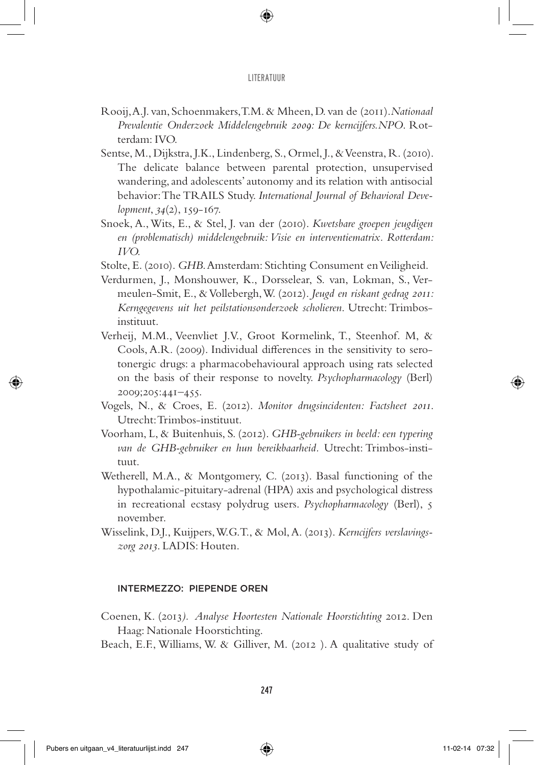- Rooij, A.J. van, Schoenmakers, T.M. & Mheen, D. van de (2011).*Nationaal Prevalentie Onderzoek Middelengebruik 2009: De kerncijfers.NPO*. Rotterdam: IVO.
- Sentse, M., Dijkstra, J.K., Lindenberg, S., Ormel, J., & Veenstra, R. (2010). The delicate balance between parental protection, unsupervised wandering, and adolescents' autonomy and its relation with antisocial behavior: The TRAILS Study. *International Journal of Behavioral Development*, *34*(2), 159-167.
- Snoek, A., Wits, E., & Stel, J. van der (2010). *Kwetsbare groepen jeugdigen en (problematisch) middelengebruik: Visie en interventiematrix. Rotterdam: IVO.*
- Stolte, E. (2010). *GHB*. Amsterdam: Stichting Consument en Veiligheid.
- Verdurmen, J., Monshouwer, K., Dorsselear, S. van, Lokman, S., Vermeulen-Smit, E., & Vollebergh, W. (2012). *Jeugd en riskant gedrag 2011: Kerngegevens uit het peilstationsonderzoek scholieren*. Utrecht: Trimbosinstituut.
- Verheij, M.M., Veenvliet J.V., Groot Kormelink, T., Steenhof. M, & Cools, A.R. (2009). Individual differences in the sensitivity to serotonergic drugs: a pharmacobehavioural approach using rats selected on the basis of their response to novelty. *Psychopharmacology* (Berl) 2009;205:441–455.
- Vogels, N., & Croes, E. (2012). *Monitor drugsincidenten: Factsheet 2011*. Utrecht: Trimbos-instituut.
- Voorham, L, & Buitenhuis, S. (2012). *GHB-gebruikers in beeld: een typering van de GHB-gebruiker en hun bereikbaarheid.* Utrecht: Trimbos-instituut.
- Wetherell, M.A., & Montgomery, C. (2013). Basal functioning of the hypothalamic-pituitary-adrenal (HPA) axis and psychological distress in recreational ecstasy polydrug users. *Psychopharmacology* (Berl), 5 november.
- Wisselink, D.J., Kuijpers, W.G.T., & Mol, A. (2013). *Kerncijfers verslavingszorg 2013*. LADIS: Houten.

## Intermezzo: Piepende oren

- Coenen, K. (2013*). Analyse Hoortesten Nationale Hoorstichting* 2012. Den Haag: Nationale Hoorstichting.
- Beach, E.F., Williams, W. & Gilliver, M. (2012 ). A qualitative study of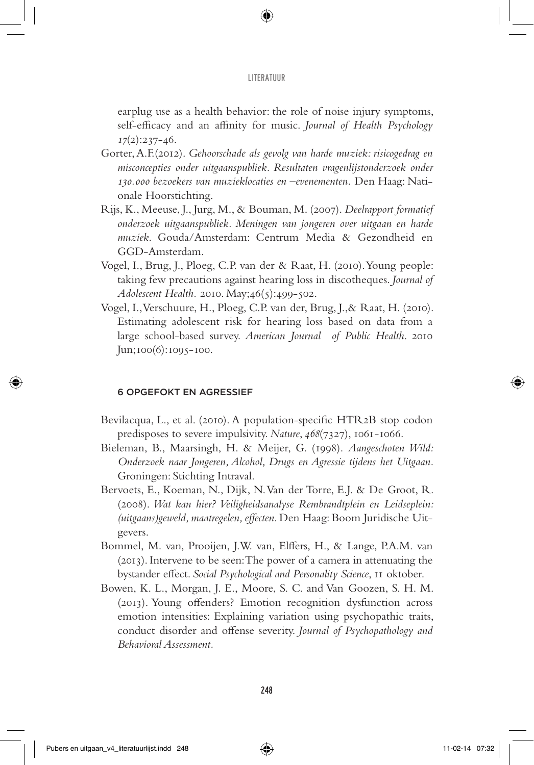earplug use as a health behavior: the role of noise injury symptoms, self-efficacy and an affinity for music. *Journal of Health Psychology 17*(2):237-46.

- Gorter, A.F.(2012). *Gehoorschade als gevolg van harde muziek: risicogedrag en misconcepties onder uitgaanspubliek. Resultaten vragenlijstonderzoek onder 130.000 bezoekers van muzieklocaties en –evenementen.* Den Haag: Nationale Hoorstichting.
- Rijs, K., Meeuse, J., Jurg, M., & Bouman, M. (2007). *Deelrapport formatief onderzoek uitgaanspubliek. Meningen van jongeren over uitgaan en harde muziek*. Gouda/Amsterdam: Centrum Media & Gezondheid en GGD-Amsterdam.
- Vogel, I., Brug, J., Ploeg, C.P. van der & Raat, H. (2010). Young people: taking few precautions against hearing loss in discotheques. *Journal of Adolescent Health.* 2010. May;46(5):499-502.
- Vogel, I., Verschuure, H., Ploeg, C.P. van der, Brug, J.,& Raat, H. (2010). Estimating adolescent risk for hearing loss based on data from a large school-based survey. *American Journal of Public Health*. 2010 Jun;100(6):1095-100.

# 6 Opgefokt en agressief

- Bevilacqua, L., et al. (2010). A population-specific HTR2B stop codon predisposes to severe impulsivity. *Nature*, *468*(7327), 1061-1066.
- Bieleman, B., Maarsingh, H. & Meijer, G. (1998). *Aangeschoten Wild: Onderzoek naar Jongeren, Alcohol, Drugs en Agressie tijdens het Uitgaan.*  Groningen: Stichting Intraval.
- Bervoets, E., Koeman, N., Dijk, N. Van der Torre, E.J. & De Groot, R. (2008). *Wat kan hier? Veiligheidsanalyse Rembrandtplein en Leidseplein: (uitgaans)geweld, maatregelen, effecten*. Den Haag: Boom Juridische Uitgevers.
- Bommel, M. van, Prooijen, J.W. van, Elffers, H., & Lange, P.A.M. van (2013). Intervene to be seen: The power of a camera in attenuating the bystander effect. *Social Psychological and Personality Science*, 11 oktober.
- Bowen, K. L., Morgan, J. E., Moore, S. C. and Van Goozen, S. H. M. (2013). Young offenders? Emotion recognition dysfunction across emotion intensities: Explaining variation using psychopathic traits, conduct disorder and offense severity. *Journal of Psychopathology and Behavioral Assessment.*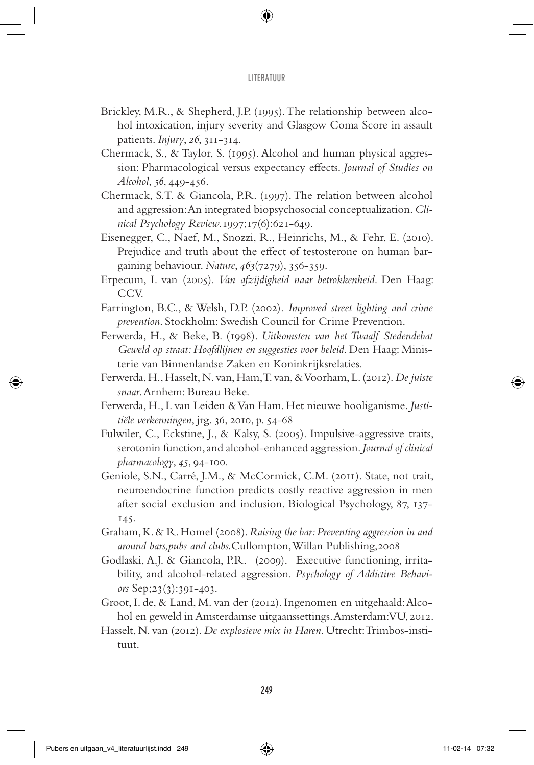- Brickley, M.R., & Shepherd, J.P. (1995). The relationship between alcohol intoxication, injury severity and Glasgow Coma Score in assault patients. *Injury*, *26*, 311-314.
- Chermack, S., & Taylor, S. (1995). Alcohol and human physical aggression: Pharmacological versus expectancy effects. *Journal of Studies on Alcohol*, *56*, 449-456.
- Chermack, S.T. & Giancola, P.R. (1997). The relation between alcohol and aggression: An integrated biopsychosocial conceptualization. *Clinical Psychology Review*.1997;17(6):621-649.
- Eisenegger, C., Naef, M., Snozzi, R., Heinrichs, M., & Fehr, E. (2010). Prejudice and truth about the effect of testosterone on human bargaining behaviour. *Nature*, *463*(7279), 356-359.
- Erpecum, I. van (2005). *Van afzijdigheid naar betrokkenheid*. Den Haag: CCV.
- Farrington, B.C., & Welsh, D.P. (2002). *Improved street lighting and crime prevention*. Stockholm: Swedish Council for Crime Prevention.
- Ferwerda, H., & Beke, B. (1998). *Uitkomsten van het Twaalf Stedendebat Geweld op straat: Hoofdlijnen en suggesties voor beleid*. Den Haag: Ministerie van Binnenlandse Zaken en Koninkrijksrelaties.
- Ferwerda, H., Hasselt, N. van, Ham, T. van, & Voorham, L. (2012). *De juiste snaar*. Arnhem: Bureau Beke.
- Ferwerda, H., I. van Leiden & Van Ham. Het nieuwe hooliganisme*. Justitiële verkenningen*, jrg. 36, 2010, p. 54-68
- Fulwiler, C., Eckstine, J., & Kalsy, S. (2005). Impulsive-aggressive traits, serotonin function, and alcohol-enhanced aggression. *Journal of clinical pharmacology*, *45*, 94-100.
- Geniole, S.N., Carré, J.M., & McCormick, C.M. (2011). State, not trait, neuroendocrine function predicts costly reactive aggression in men after social exclusion and inclusion. Biological Psychology, 87, 137- 145.
- Graham, K. & R. Homel (2008). *Raising the bar: Preventing aggression in and around bars,pubs and clubs.*Cullompton, Willan Publishing,2008
- Godlaski, A.J. & Giancola, P.R. (2009). Executive functioning, irritability, and alcohol-related aggression. *Psychology of Addictive Behaviors* Sep;23(3):391-403.
- Groot, I. de, & Land, M. van der (2012). Ingenomen en uitgehaald: Alcohol en geweld in Amsterdamse uitgaanssettings. Amsterdam: VU, 2012.
- Hasselt, N. van (2012). *De explosieve mix in Haren*. Utrecht: Trimbos-instituut.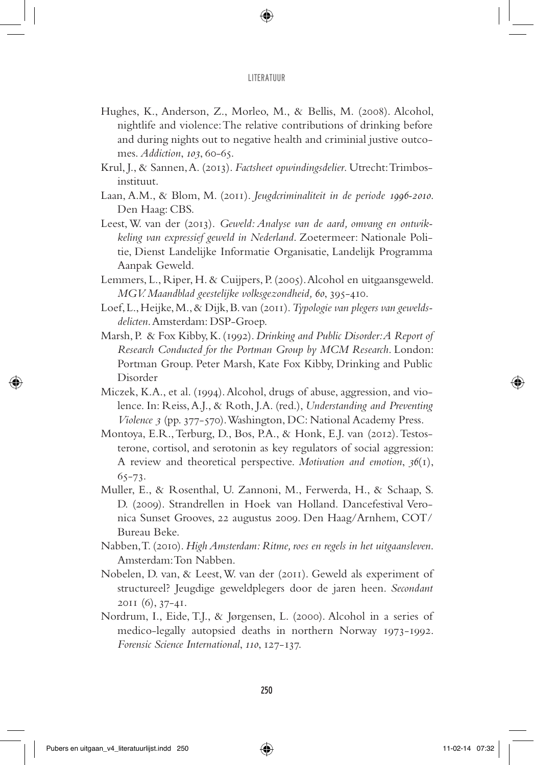- Hughes, K., Anderson, Z., Morleo, M., & Bellis, M. (2008). Alcohol, nightlife and violence: The relative contributions of drinking before and during nights out to negative health and criminial justive outcomes. *Addiction*, *103*, 60-65.
- Krul, J., & Sannen, A. (2013). *Factsheet opwindingsdelier*. Utrecht: Trimbosinstituut.
- Laan, A.M., & Blom, M. (2011). *Jeugdcriminaliteit in de periode 1996-2010*. Den Haag: CBS.
- Leest, W. van der (2013). *Geweld: Analyse van de aard, omvang en ontwikkeling van expressief geweld in Nederland*. Zoetermeer: Nationale Politie, Dienst Landelijke Informatie Organisatie, Landelijk Programma Aanpak Geweld.
- Lemmers, L., Riper, H. & Cuijpers, P. (2005). Alcohol en uitgaansgeweld. *MGV. Maandblad geestelijke volksgezondheid, 60*, 395-410.
- Loef, L., Heijke, M., & Dijk, B. van (2011). *Typologie van plegers van geweldsdelicten*. Amsterdam: DSP-Groep.
- Marsh, P. & Fox Kibby, K. (1992). *Drinking and Public Disorder: A Report of Research Conducted for the Portman Group by MCM Research*. London: Portman Group. Peter Marsh, Kate Fox Kibby, Drinking and Public Disorder
- Miczek, K.A., et al. (1994). Alcohol, drugs of abuse, aggression, and violence. In: Reiss, A.J., & Roth, J.A. (red.), *Understanding and Preventing Violence 3* (pp. 377-570). Washington, DC: National Academy Press.
- Montoya, E.R., Terburg, D., Bos, P.A., & Honk, E.J. van (2012). Testosterone, cortisol, and serotonin as key regulators of social aggression: A review and theoretical perspective. *Motivation and emotion*, *36*(1), 65-73.
- Muller, E., & Rosenthal, U. Zannoni, M., Ferwerda, H., & Schaap, S. D. (2009). Strandrellen in Hoek van Holland. Dancefestival Veronica Sunset Grooves, 22 augustus 2009. Den Haag/Arnhem, COT/ Bureau Beke.
- Nabben, T. (2010). *High Amsterdam: Ritme, roes en regels in het uitgaansleven*. Amsterdam: Ton Nabben.
- Nobelen, D. van, & Leest, W. van der (2011). Geweld als experiment of structureel? Jeugdige geweldplegers door de jaren heen. *Secondant* 2011 (6), 37-41.
- Nordrum, I., Eide, T.J., & Jørgensen, L. (2000). Alcohol in a series of medico-legally autopsied deaths in northern Norway 1973-1992. *Forensic Science International*, *110*, 127-137.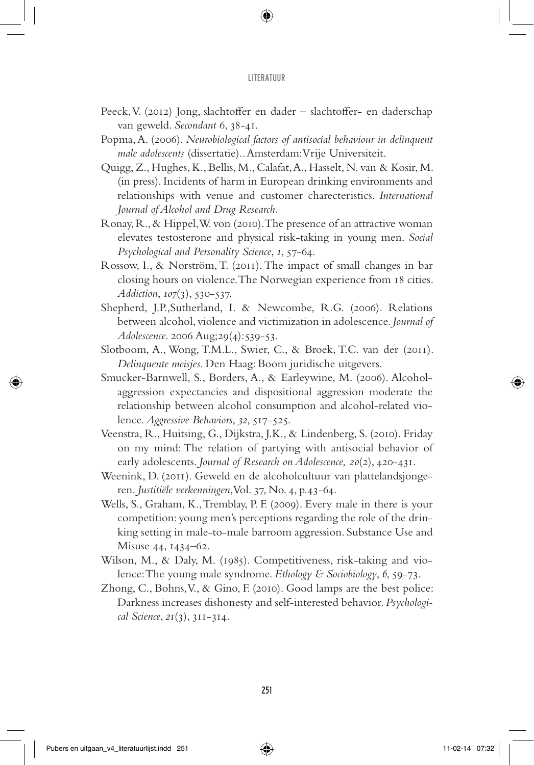- Peeck, V. (2012) Jong, slachtoffer en dader slachtoffer- en daderschap van geweld. *Secondant* 6, 38-41.
- Popma, A. (2006). *Neurobiological factors of antisocial behaviour in delinquent male adolescents* (dissertatie).. Amsterdam: Vrije Universiteit.
- Quigg, Z., Hughes, K., Bellis, M., Calafat, A., Hasselt, N. van & Kosir, M. (in press). Incidents of harm in European drinking environments and relationships with venue and customer charecteristics. *International Journal of Alcohol and Drug Research.*
- Ronay, R., & Hippel, W. von (2010). The presence of an attractive woman elevates testosterone and physical risk-taking in young men. *Social Psychological and Personality Science*, *1*, 57-64.
- Rossow, I., & Norström, T. (2011). The impact of small changes in bar closing hours on violence. The Norwegian experience from 18 cities*. Addiction*, *107*(3), 530-537.
- Shepherd, J.P.,Sutherland, I. & Newcombe, R.G. (2006). Relations between alcohol, violence and victimization in adolescence. *Journal of Adolescence*. 2006 Aug;29(4):539-53.
- Slotboom, A., Wong, T.M.L., Swier, C., & Broek, T.C. van der (2011). *Delinquente meisjes*. Den Haag: Boom juridische uitgevers.
- Smucker-Barnwell, S., Borders, A., & Earleywine, M. (2006). Alcoholaggression expectancies and dispositional aggression moderate the relationship between alcohol consumption and alcohol-related violence. *Aggressive Behaviors*, *32*, 517-525.
- Veenstra, R., Huitsing, G., Dijkstra, J.K., & Lindenberg, S. (2010). Friday on my mind: The relation of partying with antisocial behavior of early adolescents. *Journal of Research on Adolescence, 20*(2), 420-431.
- Weenink, D. (2011). Geweld en de alcoholcultuur van plattelandsjongeren. *Justitiële verkenningen*, Vol. 37, No. 4, p.43-64.
- Wells, S., Graham, K., Tremblay, P. F. (2009). Every male in there is your competition: young men's perceptions regarding the role of the drinking setting in male-to-male barroom aggression. Substance Use and Misuse 44, 1434–62.
- Wilson, M., & Daly, M. (1985). Competitiveness, risk-taking and violence: The young male syndrome. *Ethology & Sociobiology*, *6*, 59-73.
- Zhong, C., Bohns, V., & Gino, F. (2010). Good lamps are the best police: Darkness increases dishonesty and self-interested behavior. *Psychological Science*, *21*(3), 311-314.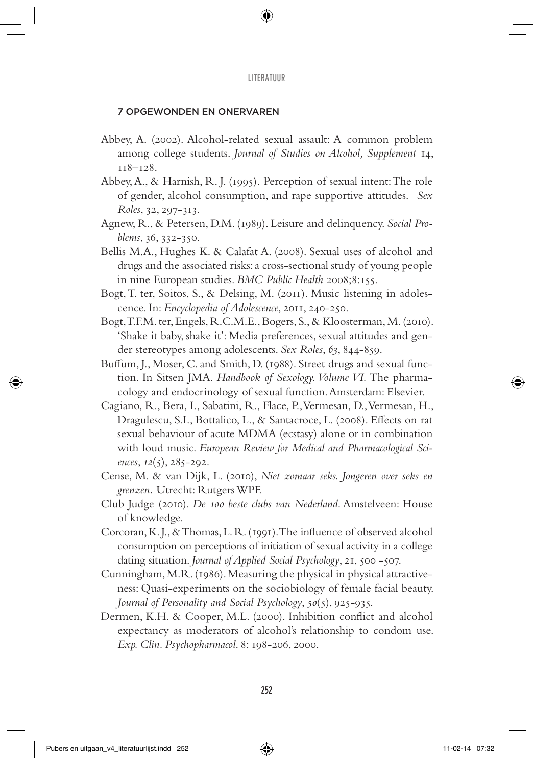# 7 Opgewonden en onervaren

- Abbey, A. (2002). Alcohol-related sexual assault: A common problem among college students. *Journal of Studies on Alcohol, Supplement* 14, 118–128.
- Abbey, A., & Harnish, R. J. (1995). Perception of sexual intent: The role of gender, alcohol consumption, and rape supportive attitudes. *Sex Roles*, 32, 297-313.
- Agnew, R., & Petersen, D.M. (1989). Leisure and delinquency. *Social Problems*, 36, 332-350.
- Bellis M.A., Hughes K. & Calafat A. (2008). Sexual uses of alcohol and drugs and the associated risks: a cross-sectional study of young people in nine European studies. *BMC Public Health* 2008;8:155.
- Bogt, T. ter, Soitos, S., & Delsing, M. (2011). Music listening in adolescence. In: *Encyclopedia of Adolescence*, 2011, 240-250.
- Bogt, T.F.M. ter, Engels, R.C.M.E., Bogers, S., & Kloosterman, M. (2010). 'Shake it baby, shake it': Media preferences, sexual attitudes and gender stereotypes among adolescents. *Sex Roles*, *63*, 844-859.
- Buffum, J., Moser, C. and Smith, D. (1988). Street drugs and sexual function. In Sitsen JMA. *Handbook of Sexology. Volume VI.* The pharmacology and endocrinology of sexual function. Amsterdam: Elsevier.
- Cagiano, R., Bera, I., Sabatini, R., Flace, P., Vermesan, D., Vermesan, H., Dragulescu, S.I., Bottalico, L., & Santacroce, L. (2008). Effects on rat sexual behaviour of acute MDMA (ecstasy) alone or in combination with loud music. *European Review for Medical and Pharmacological Sciences*, *12*(5), 285-292.
- Cense, M. & van Dijk, L. (2010), *Niet zomaar seks. Jongeren over seks en grenzen.* Utrecht: Rutgers WPF.
- Club Judge (2010). *De 100 beste clubs van Nederland*. Amstelveen: House of knowledge.
- Corcoran, K. J., & Thomas, L. R. (1991). The influence of observed alcohol consumption on perceptions of initiation of sexual activity in a college dating situation. *Journal of Applied Social Psychology*, 21, 500 -507.
- Cunningham, M.R. (1986). Measuring the physical in physical attractiveness: Quasi-experiments on the sociobiology of female facial beauty. *Journal of Personality and Social Psychology*, *50*(5), 925-935.
- Dermen, K.H. & Cooper, M.L. (2000). Inhibition conflict and alcohol expectancy as moderators of alcohol's relationship to condom use. *Exp. Clin. Psychopharmacol*. 8: 198-206, 2000.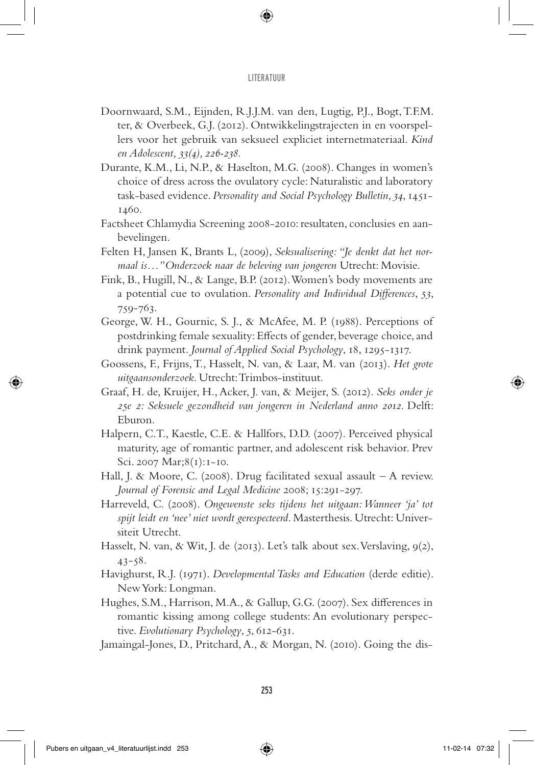- Doornwaard, S.M., Eijnden, R.J.J.M. van den, Lugtig, P.J., Bogt, T.F.M. ter, & Overbeek, G.J. (2012). Ontwikkelingstrajecten in en voorspellers voor het gebruik van seksueel expliciet internetmateriaal. *Kind en Adolescent, 33(4), 226-238.*
- Durante, K.M., Li, N.P., & Haselton, M.G. (2008). Changes in women's choice of dress across the ovulatory cycle: Naturalistic and laboratory task-based evidence. *Personality and Social Psychology Bulletin*, *34*, 1451- 1460.
- Factsheet Chlamydia Screening 2008-2010: resultaten, conclusies en aanbevelingen.
- Felten H, Jansen K, Brants L, (2009), *Seksualisering: "Je denkt dat het normaal is…"Onderzoek naar de beleving van jongeren* Utrecht: Movisie.
- Fink, B., Hugill, N., & Lange, B.P. (2012). Women's body movements are a potential cue to ovulation. *Personality and Individual Differences*, *53*, 759-763.
- George, W. H., Gournic, S. J., & McAfee, M. P. (1988). Perceptions of postdrinking female sexuality: Effects of gender, beverage choice, and drink payment*. Journal of Applied Social Psychology*, 18, 1295-1317.
- Goossens, F., Frijns, T., Hasselt, N. van, & Laar, M. van (2013). *Het grote uitgaansonderzoek*. Utrecht: Trimbos-instituut.
- Graaf, H. de, Kruijer, H., Acker, J. van, & Meijer, S. (2012). *Seks onder je 25e 2: Seksuele gezondheid van jongeren in Nederland anno 2012*. Delft: Eburon.
- Halpern, C.T., Kaestle, C.E. & Hallfors, D.D. (2007). Perceived physical maturity, age of romantic partner, and adolescent risk behavior. Prev Sci. 2007 Mar;8(1):1-10.
- Hall, J. & Moore, C. (2008). Drug facilitated sexual assault A review. *Journal of Forensic and Legal Medicine* 2008; 15:291-297.
- Harreveld, C. (2008). *Ongewenste seks tijdens het uitgaan: Wanneer 'ja' tot spijt leidt en 'nee' niet wordt gerespecteerd*. Masterthesis. Utrecht: Universiteit Utrecht.
- Hasselt, N. van, & Wit, J. de (2013). Let's talk about sex. Verslaving, 9(2), 43-58.
- Havighurst, R.J. (1971). *Developmental Tasks and Education* (derde editie). New York: Longman.
- Hughes, S.M., Harrison, M.A., & Gallup, G.G. (2007). Sex differences in romantic kissing among college students: An evolutionary perspective. *Evolutionary Psychology*, *5*, 612-631.
- Jamaingal-Jones, D., Pritchard, A., & Morgan, N. (2010). Going the dis-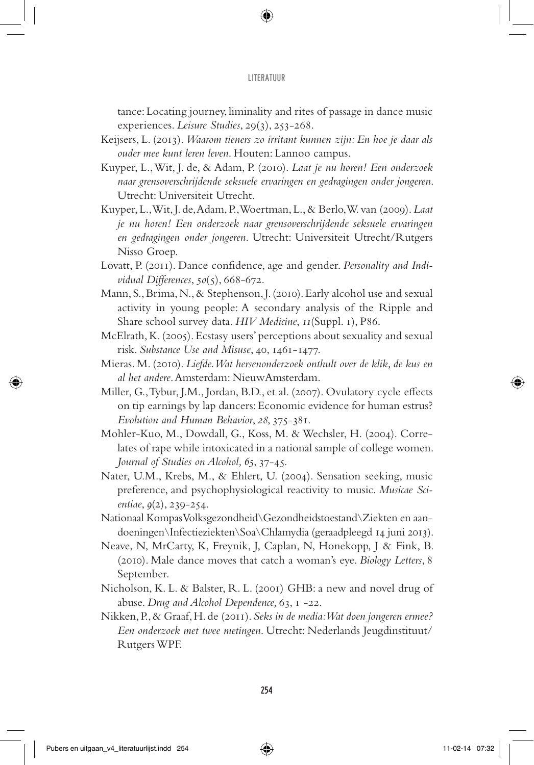tance: Locating journey, liminality and rites of passage in dance music experiences. *Leisure Studies*, 29(3), 253-268.

- Keijsers, L. (2013). *Waarom tieners zo irritant kunnen zijn: En hoe je daar als ouder mee kunt leren leven*. Houten: Lannoo campus.
- Kuyper, L., Wit, J. de, & Adam, P. (2010). *Laat je nu horen! Een onderzoek naar grensoverschrijdende seksuele ervaringen en gedragingen onder jongeren*. Utrecht: Universiteit Utrecht.
- Kuyper, L., Wit, J. de, Adam, P., Woertman, L., & Berlo, W. van (2009). *Laat je nu horen! Een onderzoek naar grensoverschrijdende seksuele ervaringen en gedragingen onder jongeren*. Utrecht: Universiteit Utrecht/Rutgers Nisso Groep.
- Lovatt, P. (2011). Dance confidence, age and gender. *Personality and Individual Differences*, *50*(5), 668-672.
- Mann, S., Brima, N., & Stephenson, J. (2010). Early alcohol use and sexual activity in young people: A secondary analysis of the Ripple and Share school survey data. *HIV Medicine*, *11*(Suppl. 1), P86.
- McElrath, K. (2005). Ecstasy users' perceptions about sexuality and sexual risk. *Substance Use and Misuse*, 40, 1461-1477.
- Mieras. M. (2010). *Liefde. Wat hersenonderzoek onthult over de klik, de kus en al het andere*. Amsterdam: NieuwAmsterdam.
- Miller, G., Tybur, J.M., Jordan, B.D., et al. (2007). Ovulatory cycle effects on tip earnings by lap dancers: Economic evidence for human estrus? *Evolution and Human Behavior*, *28*, 375-381.
- Mohler-Kuo, M., Dowdall, G., Koss, M. & Wechsler, H. (2004). Correlates of rape while intoxicated in a national sample of college women. *Journal of Studies on Alcohol, 65*, 37-45.
- Nater, U.M., Krebs, M., & Ehlert, U. (2004). Sensation seeking, music preference, and psychophysiological reactivity to music. *Musicae Scientiae*, *9*(2), 239-254.
- Nationaal Kompas Volksgezondheid\Gezondheidstoestand\Ziekten en aandoeningen\Infectieziekten\Soa\Chlamydia (geraadpleegd 14 juni 2013).
- Neave, N, MrCarty, K, Freynik, J, Caplan, N, Honekopp, J & Fink, B. (2010). Male dance moves that catch a woman's eye. *Biology Letters*, 8 September.
- Nicholson, K. L. & Balster, R. L. (2001) GHB: a new and novel drug of abuse. *Drug and Alcohol Dependence,* 63, 1 -22.
- Nikken, P., & Graaf, H. de (2011). *Seks in de media: Wat doen jongeren ermee? Een onderzoek met twee metingen*. Utrecht: Nederlands Jeugdinstituut/ Rutgers WPF.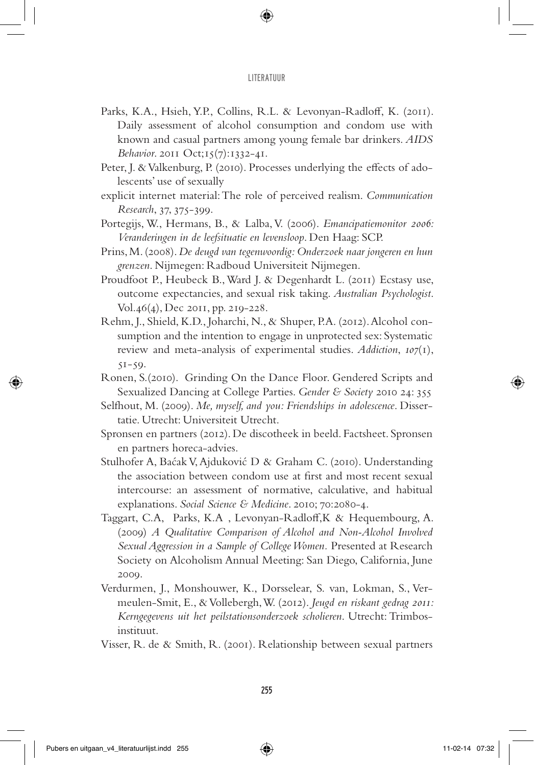- Parks, K.A., Hsieh, Y.P., Collins, R.L. & Levonyan-Radloff, K. (2011). Daily assessment of alcohol consumption and condom use with known and casual partners among young female bar drinkers. *AIDS Behavior*. 2011 Oct;15(7):1332-41.
- Peter, J. & Valkenburg, P. (2010). Processes underlying the effects of adolescents' use of sexually
- explicit internet material: The role of perceived realism. *Communication Research*, 37, 375-399.
- Portegijs, W., Hermans, B., & Lalba, V. (2006). *Emancipatiemonitor 2006: Veranderingen in de leefsituatie en levensloop*. Den Haag: SCP.
- Prins, M. (2008). *De deugd van tegenwoordig: Onderzoek naar jongeren en hun grenzen*. Nijmegen: Radboud Universiteit Nijmegen.
- Proudfoot P., Heubeck B., Ward J. & Degenhardt L. (2011) Ecstasy use, outcome expectancies, and sexual risk taking. *Australian Psychologist*. Vol.46(4), Dec 2011, pp. 219-228.
- Rehm, J., Shield, K.D., Joharchi, N., & Shuper, P.A. (2012). Alcohol consumption and the intention to engage in unprotected sex: Systematic review and meta-analysis of experimental studies. *Addiction*, *107*(1),  $51-59.$
- Ronen, S.(2010). Grinding On the Dance Floor. Gendered Scripts and Sexualized Dancing at College Parties. *Gender & Society* 2010 24: 355
- Selfhout, M. (2009). *Me, myself, and you: Friendships in adolescence*. Dissertatie. Utrecht: Universiteit Utrecht.
- Spronsen en partners (2012). De discotheek in beeld. Factsheet. Spronsen en partners horeca-advies.
- Stulhofer A, Baćak V, Ajduković D & Graham C. (2010). Understanding the association between condom use at first and most recent sexual intercourse: an assessment of normative, calculative, and habitual explanations. *Social Science & Medicine*. 2010; 70:2080-4.
- Taggart, C.A, Parks, K.A , Levonyan-Radloff,K & Hequembourg, A. (2009) *A Qualitative Comparison of Alcohol and Non-Alcohol Involved Sexual Aggression in a Sample of College Women.* Presented at Research Society on Alcoholism Annual Meeting: San Diego, California, June 2009.
- Verdurmen, J., Monshouwer, K., Dorsselear, S. van, Lokman, S., Vermeulen-Smit, E., & Vollebergh, W. (2012). *Jeugd en riskant gedrag 2011: Kerngegevens uit het peilstationsonderzoek scholieren*. Utrecht: Trimbosinstituut.
- Visser, R. de & Smith, R. (2001). Relationship between sexual partners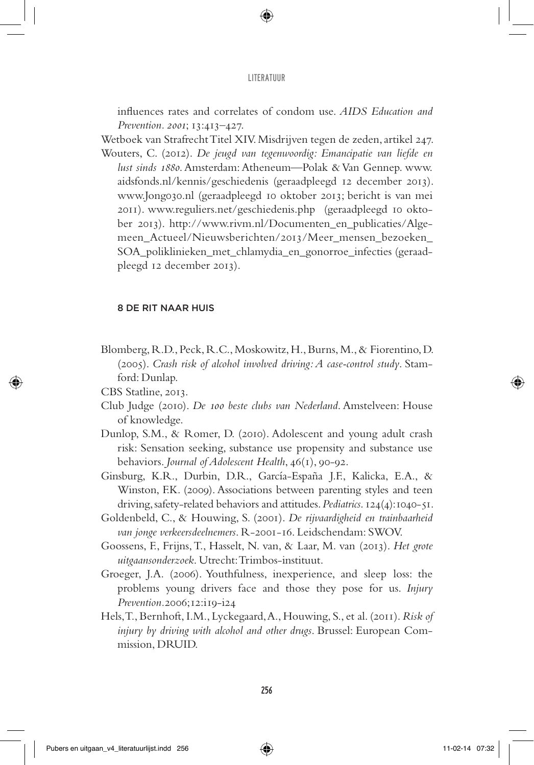influences rates and correlates of condom use. *AIDS Education and Prevention. 2001*; 13:413–427.

Wetboek van Strafrecht Titel XIV. Misdrijven tegen de zeden, artikel 247. Wouters, C. (2012). *De jeugd van tegenwoordig: Emancipatie van liefde en lust sinds 1880*. Amsterdam: Atheneum—Polak & Van Gennep. www. aidsfonds.nl/kennis/geschiedenis (geraadpleegd 12 december 2013). www.Jong030.nl (geraadpleegd 10 oktober 2013; bericht is van mei 2011). www.reguliers.net/geschiedenis.php (geraadpleegd 10 oktober 2013). http://www.rivm.nl/Documenten\_en\_publicaties/Algemeen\_Actueel/Nieuwsberichten/2013/Meer\_mensen\_bezoeken\_ SOA\_poliklinieken\_met\_chlamydia\_en\_gonorroe\_infecties (geraadpleegd 12 december 2013).

## 8 De rit naar huis

- Blomberg, R.D., Peck, R.C., Moskowitz, H., Burns, M., & Fiorentino, D. (2005). *Crash risk of alcohol involved driving: A case-control study*. Stamford: Dunlap.
- CBS Statline, 2013.
- Club Judge (2010). *De 100 beste clubs van Nederland*. Amstelveen: House of knowledge.
- Dunlop, S.M., & Romer, D. (2010). Adolescent and young adult crash risk: Sensation seeking, substance use propensity and substance use behaviors. *Journal of Adolescent Health*, 46(1), 90-92.
- Ginsburg, K.R., Durbin, D.R., García-España J.F., Kalicka, E.A., & Winston, F.K. (2009). Associations between parenting styles and teen driving, safety-related behaviors and attitudes. *Pediatrics*. 124(4):1040-51.
- Goldenbeld, C., & Houwing, S. (2001). *De rijvaardigheid en trainbaarheid van jonge verkeersdeelnemers*. R-2001-16. Leidschendam: SWOV.
- Goossens, F., Frijns, T., Hasselt, N. van, & Laar, M. van (2013). *Het grote uitgaansonderzoek*. Utrecht: Trimbos-instituut.
- Groeger, J.A. (2006). Youthfulness, inexperience, and sleep loss: the problems young drivers face and those they pose for us. *Injury Prevention.*2006;12:i19-i24
- Hels, T., Bernhoft, I.M., Lyckegaard, A., Houwing, S., et al. (2011). *Risk of injury by driving with alcohol and other drugs*. Brussel: European Commission, DRUID.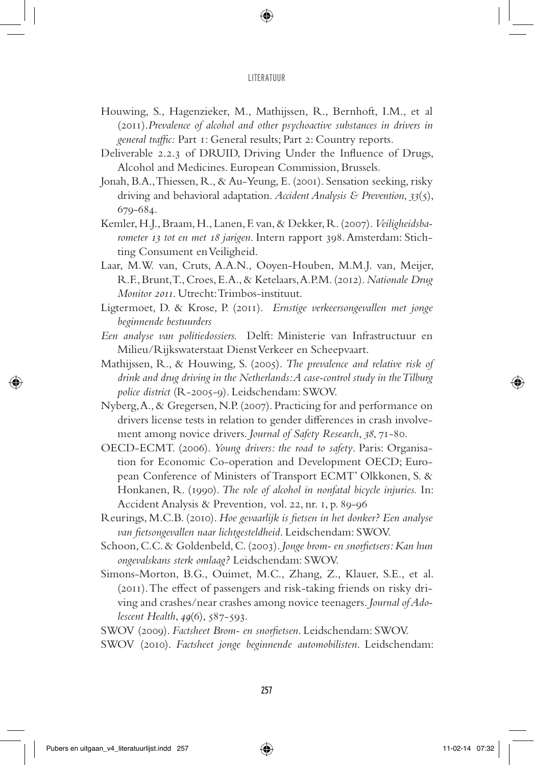- Houwing, S., Hagenzieker, M., Mathijssen, R., Bernhoft, I.M., et al (2011).*Prevalence of alcohol and other psychoactive substances in drivers in general traffic:* Part 1: General results; Part 2: Country reports.
- Deliverable 2.2.3 of DRUID, Driving Under the Influence of Drugs, Alcohol and Medicines. European Commission, Brussels.
- Jonah, B.A., Thiessen, R., & Au-Yeung, E. (2001). Sensation seeking, risky driving and behavioral adaptation. *Accident Analysis & Prevention*, *33*(5), 679-684.
- Kemler, H.J., Braam, H., Lanen, F. van, & Dekker, R. (2007). *Veiligheidsbarometer 13 tot en met 18 jarigen*. Intern rapport 398. Amsterdam: Stichting Consument en Veiligheid.
- Laar, M.W. van, Cruts, A.A.N., Ooyen-Houben, M.M.J. van, Meijer, R.F., Brunt, T., Croes, E.A., & Ketelaars, A.P.M. (2012). *Nationale Drug Monitor 2011*. Utrecht: Trimbos-instituut.
- Ligtermoet, D. & Krose, P. (2011). *Ernstige verkeersongevallen met jonge beginnende bestuurders*
- *Een analyse van politiedossiers.* Delft: Ministerie van Infrastructuur en Milieu/Rijkswaterstaat Dienst Verkeer en Scheepvaart.
- Mathijssen, R., & Houwing, S. (2005). *The prevalence and relative risk of drink and drug driving in the Netherlands: A case-control study in the Tilburg police district* (R-2005-9). Leidschendam: SWOV.
- Nyberg, A., & Gregersen, N.P. (2007). Practicing for and performance on drivers license tests in relation to gender differences in crash involvement among novice drivers. *Journal of Safety Research*, *38*, 71-80.
- OECD-ECMT. (2006). *Young drivers: the road to safety*. Paris: Organisation for Economic Co-operation and Development OECD; European Conference of Ministers of Transport ECMT' Olkkonen, S. & Honkanen, R. (1990). *The role of alcohol in nonfatal bicycle injuries.* In: Accident Analysis & Prevention*,* vol. 22, nr. 1, p. 89-96
- Reurings, M.C.B. (2010). *Hoe gevaarlijk is fietsen in het donker? Een analyse van fietsongevallen naar lichtgesteldheid*. Leidschendam: SWOV.
- Schoon, C.C. & Goldenbeld, C. (2003). *Jonge brom- en snorfietsers: Kan hun ongevalskans sterk omlaag?* Leidschendam: SWOV.
- Simons-Morton, B.G., Ouimet, M.C., Zhang, Z., Klauer, S.E., et al. (2011). The effect of passengers and risk-taking friends on risky driving and crashes/near crashes among novice teenagers*. Journal of Adolescent Health*, *49*(6), 587-593.
- SWOV (2009). *Factsheet Brom- en snorfietsen*. Leidschendam: SWOV.
- SWOV (2010). *Factsheet jonge beginnende automobilisten*. Leidschendam: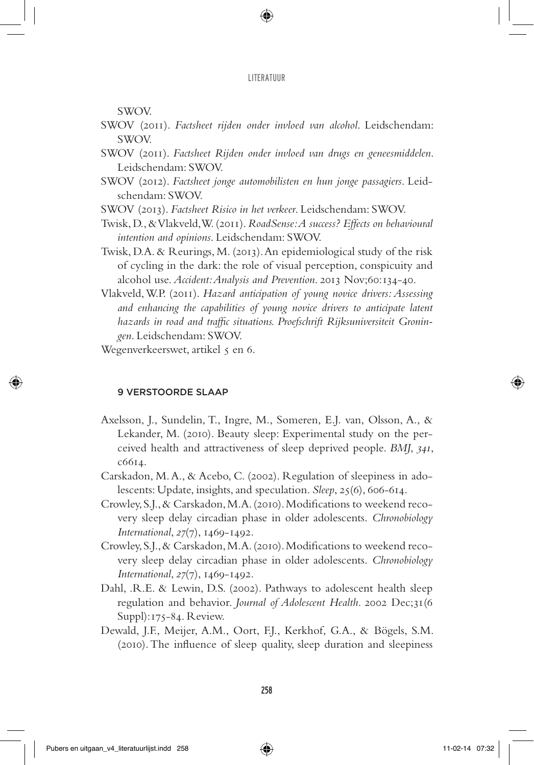SWOV.

- SWOV (2011). *Factsheet rijden onder invloed van alcohol*. Leidschendam: SWOV.
- SWOV (2011). *Factsheet Rijden onder invloed van drugs en geneesmiddelen*. Leidschendam: SWOV.
- SWOV (2012). *Factsheet jonge automobilisten en hun jonge passagiers*. Leidschendam: SWOV.
- SWOV (2013). *Factsheet Risico in het verkeer*. Leidschendam: SWOV.
- Twisk, D., & Vlakveld, W. (2011). *RoadSense: A success? Effects on behavioural intention and opinions*. Leidschendam: SWOV.
- Twisk, D.A. & Reurings, M. (2013). An epidemiological study of the risk of cycling in the dark: the role of visual perception, conspicuity and alcohol use. *Accident: Analysis and Prevention*. 2013 Nov;60:134-40.
- Vlakveld, W.P. (2011). *Hazard anticipation of young novice drivers: Assessing and enhancing the capabilities of young novice drivers to anticipate latent hazards in road and traffic situations. Proefschrift Rijksuniversiteit Groningen*. Leidschendam: SWOV.
- Wegenverkeerswet, artikel 5 en 6.

## 9 Verstoorde slaap

- Axelsson, J., Sundelin, T., Ingre, M., Someren, E.J. van, Olsson, A., & Lekander, M. (2010). Beauty sleep: Experimental study on the perceived health and attractiveness of sleep deprived people. *BMJ*, *341*, c6614.
- Carskadon, M. A., & Acebo, C. (2002). Regulation of sleepiness in adolescents: Update, insights, and speculation. *Sleep*, 25(6), 606-614.
- Crowley, S.J., & Carskadon, M.A. (2010). Modifications to weekend recovery sleep delay circadian phase in older adolescents. *Chronobiology International*, *27*(7), 1469-1492.
- Crowley, S.J., & Carskadon, M.A. (2010). Modifications to weekend recovery sleep delay circadian phase in older adolescents. *Chronobiology International*, *27*(7), 1469-1492.
- Dahl, .R.E. & Lewin, D.S. (2002). Pathways to adolescent health sleep regulation and behavior. *Journal of Adolescent Health*. 2002 Dec;31(6 Suppl):175-84. Review.
- Dewald, J.F., Meijer, A.M., Oort, F.J., Kerkhof, G.A., & Bögels, S.M. (2010). The influence of sleep quality, sleep duration and sleepiness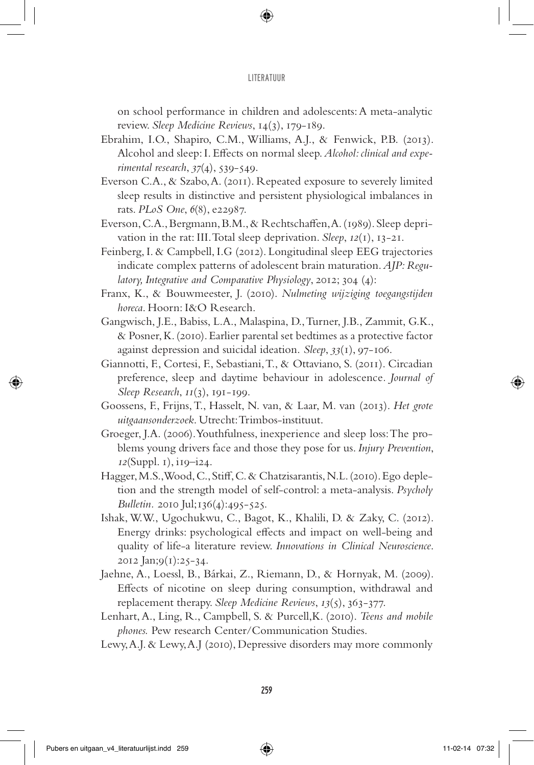on school performance in children and adolescents: A meta-analytic review. *Sleep Medicine Reviews*, 14(3), 179-189.

- Ebrahim, I.O., Shapiro, C.M., Williams, A.J., & Fenwick, P.B. (2013). Alcohol and sleep: I. Effects on normal sleep. *Alcohol: clinical and experimental research*, *37*(4), 539-549.
- Everson C.A., & Szabo, A. (2011). Repeated exposure to severely limited sleep results in distinctive and persistent physiological imbalances in rats. *PLoS One*, *6*(8), e22987.
- Everson, C.A., Bergmann, B.M., & Rechtschaffen, A. (1989). Sleep deprivation in the rat: III. Total sleep deprivation. *Sleep*, *12*(1), 13-21.
- Feinberg, I. & Campbell, I.G (2012). Longitudinal sleep EEG trajectories indicate complex patterns of adolescent brain maturation. *AJP: Regulatory, Integrative and Comparative Physiology*, 2012; 304 (4):
- Franx, K., & Bouwmeester, J. (2010). *Nulmeting wijziging toegangstijden horeca*. Hoorn: I&O Research.
- Gangwisch, J.E., Babiss, L.A., Malaspina, D., Turner, J.B., Zammit, G.K., & Posner, K. (2010). Earlier parental set bedtimes as a protective factor against depression and suicidal ideation. *Sleep*, *33*(1), 97-106.
- Giannotti, F., Cortesi, F., Sebastiani, T., & Ottaviano, S. (2011). Circadian preference, sleep and daytime behaviour in adolescence*. Journal of Sleep Research*, *11*(3), 191-199.
- Goossens, F., Frijns, T., Hasselt, N. van, & Laar, M. van (2013). *Het grote uitgaansonderzoek*. Utrecht: Trimbos-instituut.
- Groeger, J.A. (2006). Youthfulness, inexperience and sleep loss: The problems young drivers face and those they pose for us. *Injury Prevention*, *12*(Suppl. 1), i19–i24.
- Hagger, M.S., Wood, C., Stiff, C. & Chatzisarantis, N.L. (2010). Ego depletion and the strength model of self-control: a meta-analysis. *Psycholy Bulletin.* 2010 Jul;136(4):495-525.
- Ishak, W.W., Ugochukwu, C., Bagot, K., Khalili, D. & Zaky, C. (2012). Energy drinks: psychological effects and impact on well-being and quality of life-a literature review. *Innovations in Clinical Neuroscience*. 2012 Jan;9(1):25-34.
- Jaehne, A., Loessl, B., Bárkai, Z., Riemann, D., & Hornyak, M. (2009). Effects of nicotine on sleep during consumption, withdrawal and replacement therapy. *Sleep Medicine Reviews*, *13*(5), 363-377.
- Lenhart, A., Ling, R., Campbell, S. & Purcell,K. (2010). *Teens and mobile phones.* Pew research Center/Communication Studies.
- Lewy, A.J. & Lewy, A.J (2010), Depressive disorders may more commonly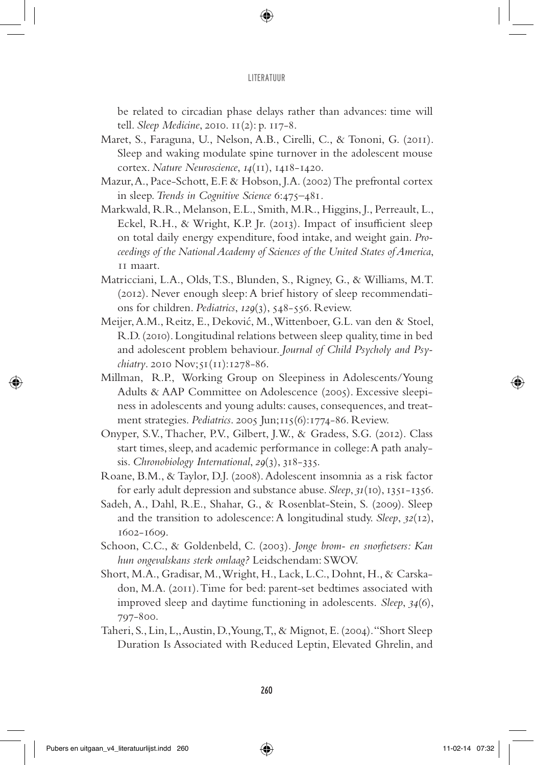be related to circadian phase delays rather than advances: time will tell. *Sleep Medicine*, 2010. 11(2): p. 117-8.

- Maret, S., Faraguna, U., Nelson, A.B., Cirelli, C., & Tononi, G. (2011). Sleep and waking modulate spine turnover in the adolescent mouse cortex. *Nature Neuroscience*, *14*(11), 1418-1420.
- Mazur, A., Pace-Schott, E.F. & Hobson, J.A. (2002) The prefrontal cortex in sleep. *Trends in Cognitive Science* 6:475–481*.*
- Markwald, R.R., Melanson, E.L., Smith, M.R., Higgins, J., Perreault, L., Eckel, R.H., & Wright, K.P. Jr. (2013). Impact of insufficient sleep on total daily energy expenditure, food intake, and weight gain. *Proceedings of the National Academy of Sciences of the United States of America*, 11 maart.
- Matricciani, L.A., Olds, T.S., Blunden, S., Rigney, G., & Williams, M.T. (2012). Never enough sleep: A brief history of sleep recommendations for children. *Pediatrics*, *129*(3), 548-556. Review.
- Meijer, A.M., Reitz, E., Deković, M., Wittenboer, G.L. van den & Stoel, R.D. (2010). Longitudinal relations between sleep quality, time in bed and adolescent problem behaviour. *Journal of Child Psycholy and Psychiatry*. 2010 Nov;51(11):1278-86.
- Millman, R.P., Working Group on Sleepiness in Adolescents/Young Adults & AAP Committee on Adolescence (2005). Excessive sleepiness in adolescents and young adults: causes, consequences, and treatment strategies. *Pediatrics*. 2005 Jun;115(6):1774-86. Review.
- Onyper, S.V., Thacher, P.V., Gilbert, J.W., & Gradess, S.G. (2012). Class start times, sleep, and academic performance in college: A path analysis. *Chronobiology International*, *29*(3), 318-335.
- Roane, B.M., & Taylor, D.J. (2008). Adolescent insomnia as a risk factor for early adult depression and substance abuse. *Sleep*, *31*(10), 1351-1356.
- Sadeh, A., Dahl, R.E., Shahar, G., & Rosenblat-Stein, S. (2009). Sleep and the transition to adolescence: A longitudinal study. *Sleep*, *32*(12), 1602-1609.
- Schoon, C.C., & Goldenbeld, C. (2003). *Jonge brom- en snorfietsers: Kan hun ongevalskans sterk omlaag?* Leidschendam: SWOV.
- Short, M.A., Gradisar, M., Wright, H., Lack, L.C., Dohnt, H., & Carskadon, M.A. (2011). Time for bed: parent-set bedtimes associated with improved sleep and daytime functioning in adolescents. *Sleep*, *34*(6), 797-800.
- Taheri, S., Lin, L,, Austin, D., Young, T,, & Mignot, E. (2004). "Short Sleep Duration Is Associated with Reduced Leptin, Elevated Ghrelin, and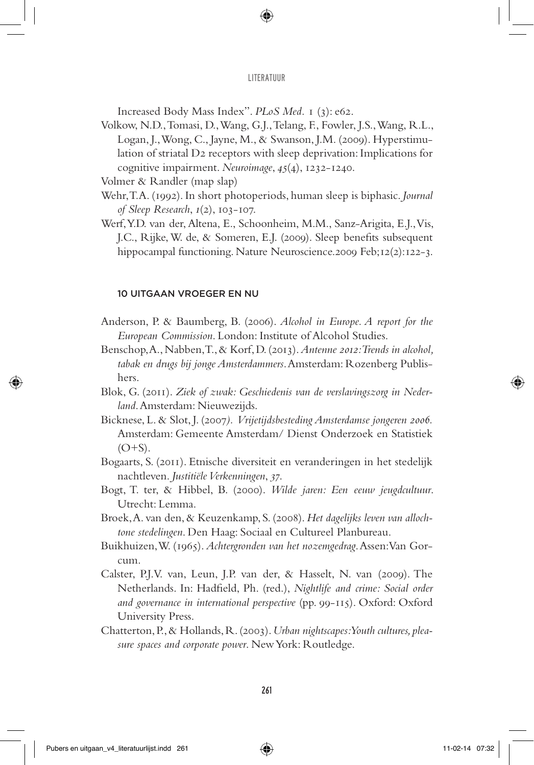Increased Body Mass Index". *PLoS Med.* 1 (3): e62.

Volkow, N.D., Tomasi, D., Wang, G.J., Telang, F., Fowler, J.S., Wang, R.L., Logan, J., Wong, C., Jayne, M., & Swanson, J.M. (2009). Hyperstimulation of striatal D2 receptors with sleep deprivation: Implications for cognitive impairment. *Neuroimage*, *45*(4), 1232-1240.

Volmer & Randler (map slap)

- Wehr, T.A. (1992). In short photoperiods, human sleep is biphasic. *Journal of Sleep Research*, *1*(2), 103-107.
- Werf, Y.D. van der, Altena, E., Schoonheim, M.M., Sanz-Arigita, E.J., Vis, J.C., Rijke, W. de, & Someren, E.J. (2009). Sleep benefits subsequent hippocampal functioning. Nature Neuroscience.2009 Feb;12(2):122-3.

## 10 Uitgaan vroeger en nu

- Anderson, P. & Baumberg, B. (2006). *Alcohol in Europe. A report for the European Commission*. London: Institute of Alcohol Studies.
- Benschop, A., Nabben, T., & Korf, D. (2013). *Antenne 2012: Trends in alcohol, tabak en drugs bij jonge Amsterdammers*. Amsterdam: Rozenberg Publishers.
- Blok, G. (2011). *Ziek of zwak: Geschiedenis van de verslavingszorg in Nederland*. Amsterdam: Nieuwezijds.
- Bicknese, L. & Slot, J. (2007*). Vrijetijdsbesteding Amsterdamse jongeren 2006.* Amsterdam: Gemeente Amsterdam/ Dienst Onderzoek en Statistiek  $(O+S)$ .
- Bogaarts, S. (2011). Etnische diversiteit en veranderingen in het stedelijk nachtleven. *Justitiële Verkenningen*, *37*.
- Bogt, T. ter, & Hibbel, B. (2000). *Wilde jaren: Een eeuw jeugdcultuur*. Utrecht: Lemma.
- Broek, A. van den, & Keuzenkamp, S. (2008). *Het dagelijks leven van allochtone stedelingen*. Den Haag: Sociaal en Cultureel Planbureau.
- Buikhuizen, W. (1965). *Achtergronden van het nozemgedrag*. Assen: Van Gorcum.
- Calster, P.J.V. van, Leun, J.P. van der, & Hasselt, N. van (2009). The Netherlands. In: Hadfield, Ph. (red.), *Nightlife and crime: Social order and governance in international perspective* (pp. 99-115). Oxford: Oxford University Press.
- Chatterton, P., & Hollands, R. (2003). *Urban nightscapes: Youth cultures, pleasure spaces and corporate power*. New York: Routledge.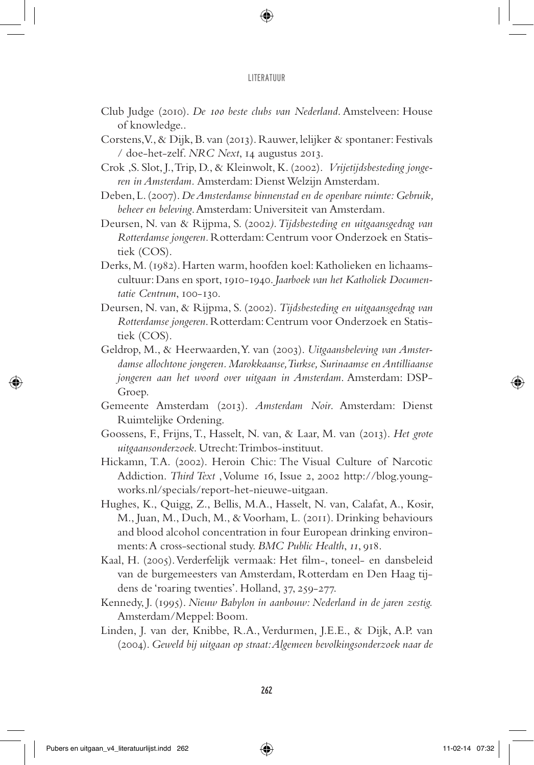- Club Judge (2010). *De 100 beste clubs van Nederland*. Amstelveen: House of knowledge..
- Corstens, V., & Dijk, B. van (2013). Rauwer, lelijker & spontaner: Festivals / doe-het-zelf. *NRC Next*, 14 augustus 2013.
- Crok ,S. Slot, J., Trip, D., & Kleinwolt, K. (2002). *Vrijetijdsbesteding jongeren in Amsterdam.* Amsterdam: Dienst Welzijn Amsterdam.
- Deben, L. (2007). *De Amsterdamse binnenstad en de openbare ruimte: Gebruik, beheer en beleving*. Amsterdam: Universiteit van Amsterdam.
- Deursen, N. van & Rijpma, S. (2002*). Tijdsbesteding en uitgaansgedrag van Rotterdamse jongeren.* Rotterdam: Centrum voor Onderzoek en Statistiek (COS).
- Derks, M. (1982). Harten warm, hoofden koel: Katholieken en lichaamscultuur: Dans en sport, 1910-1940. *Jaarboek van het Katholiek Documentatie Centrum*, 100-130.
- Deursen, N. van, & Rijpma, S. (2002). *Tijdsbesteding en uitgaansgedrag van Rotterdamse jongeren*. Rotterdam: Centrum voor Onderzoek en Statistiek (COS).
- Geldrop, M., & Heerwaarden, Y. van (2003). *Uitgaansbeleving van Amsterdamse allochtone jongeren. Marokkaanse, Turkse, Surinaamse en Antilliaanse jongeren aan het woord over uitgaan in Amsterdam*. Amsterdam: DSP-Groep.
- Gemeente Amsterdam (2013). *Amsterdam Noir*. Amsterdam: Dienst Ruimtelijke Ordening.
- Goossens, F., Frijns, T., Hasselt, N. van, & Laar, M. van (2013). *Het grote uitgaansonderzoek*. Utrecht: Trimbos-instituut.
- Hickamn, T.A. (2002). Heroin Chic: The Visual Culture of Narcotic Addiction. *Third Text* , Volume 16, Issue 2, 2002 http://blog.youngworks.nl/specials/report-het-nieuwe-uitgaan.
- Hughes, K., Quigg, Z., Bellis, M.A., Hasselt, N. van, Calafat, A., Kosir, M., Juan, M., Duch, M., & Voorham, L. (2011). Drinking behaviours and blood alcohol concentration in four European drinking environments: A cross-sectional study. *BMC Public Health*, *11*, 918.
- Kaal, H. (2005). Verderfelijk vermaak: Het film-, toneel- en dansbeleid van de burgemeesters van Amsterdam, Rotterdam en Den Haag tijdens de 'roaring twenties'. Holland, 37, 259-277.
- Kennedy, J. (1995). *Nieuw Babylon in aanbouw: Nederland in de jaren zestig.* Amsterdam/Meppel: Boom.
- Linden, J. van der, Knibbe, R.A., Verdurmen, J.E.E., & Dijk, A.P. van (2004). *Geweld bij uitgaan op straat: Algemeen bevolkingsonderzoek naar de*